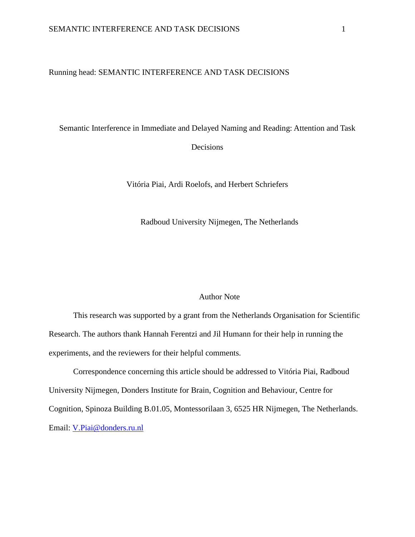# Running head: SEMANTIC INTERFERENCE AND TASK DECISIONS

# Semantic Interference in Immediate and Delayed Naming and Reading: Attention and Task Decisions

Vitória Piai, Ardi Roelofs, and Herbert Schriefers

Radboud University Nijmegen, The Netherlands

## Author Note

This research was supported by a grant from the Netherlands Organisation for Scientific Research. The authors thank Hannah Ferentzi and Jil Humann for their help in running the experiments, and the reviewers for their helpful comments.

Correspondence concerning this article should be addressed to Vitória Piai, Radboud University Nijmegen, Donders Institute for Brain, Cognition and Behaviour, Centre for Cognition, Spinoza Building B.01.05, Montessorilaan 3, 6525 HR Nijmegen, The Netherlands. Email: [V.Piai@donders.ru.nl](mailto:V.Piai@donders.ru.nl)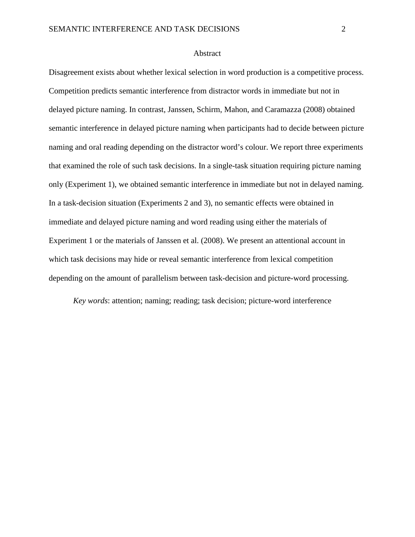#### Abstract

Disagreement exists about whether lexical selection in word production is a competitive process. Competition predicts semantic interference from distractor words in immediate but not in delayed picture naming. In contrast, Janssen, Schirm, Mahon, and Caramazza (2008) obtained semantic interference in delayed picture naming when participants had to decide between picture naming and oral reading depending on the distractor word's colour. We report three experiments that examined the role of such task decisions. In a single-task situation requiring picture naming only (Experiment 1), we obtained semantic interference in immediate but not in delayed naming. In a task-decision situation (Experiments 2 and 3), no semantic effects were obtained in immediate and delayed picture naming and word reading using either the materials of Experiment 1 or the materials of Janssen et al. (2008). We present an attentional account in which task decisions may hide or reveal semantic interference from lexical competition depending on the amount of parallelism between task-decision and picture-word processing.

*Key words*: attention; naming; reading; task decision; picture-word interference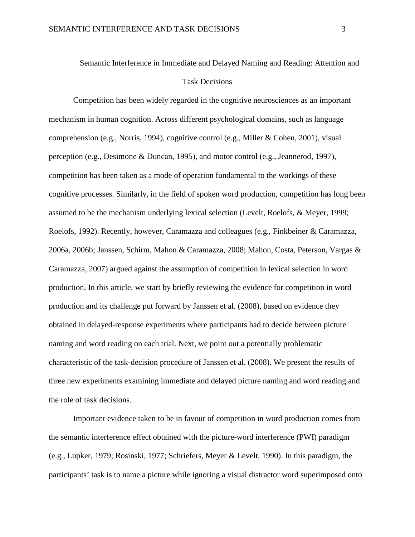Competition has been widely regarded in the cognitive neurosciences as an important mechanism in human cognition. Across different psychological domains, such as language comprehension (e.g., Norris, 1994), cognitive control (e.g., Miller & Cohen, 2001), visual perception (e.g., Desimone & Duncan, 1995), and motor control (e.g., Jeannerod, 1997), competition has been taken as a mode of operation fundamental to the workings of these cognitive processes. Similarly, in the field of spoken word production, competition has long been assumed to be the mechanism underlying lexical selection (Levelt, Roelofs, & Meyer, 1999; Roelofs, 1992). Recently, however, Caramazza and colleagues (e.g., Finkbeiner & Caramazza, 2006a, 2006b; Janssen, Schirm, Mahon & Caramazza, 2008; Mahon, Costa, Peterson, Vargas & Caramazza, 2007) argued against the assumption of competition in lexical selection in word production. In this article, we start by briefly reviewing the evidence for competition in word production and its challenge put forward by Janssen et al. (2008), based on evidence they obtained in delayed-response experiments where participants had to decide between picture naming and word reading on each trial. Next, we point out a potentially problematic characteristic of the task-decision procedure of Janssen et al. (2008). We present the results of three new experiments examining immediate and delayed picture naming and word reading and the role of task decisions.

Important evidence taken to be in favour of competition in word production comes from the semantic interference effect obtained with the picture-word interference (PWI) paradigm (e.g., Lupker, 1979; Rosinski, 1977; Schriefers, Meyer & Levelt, 1990). In this paradigm, the participants' task is to name a picture while ignoring a visual distractor word superimposed onto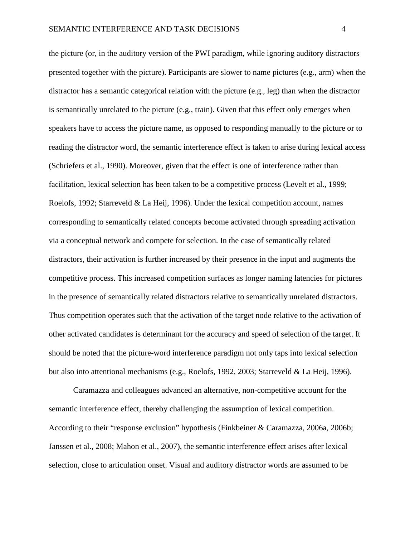the picture (or, in the auditory version of the PWI paradigm, while ignoring auditory distractors presented together with the picture). Participants are slower to name pictures (e.g., arm) when the distractor has a semantic categorical relation with the picture (e.g., leg) than when the distractor is semantically unrelated to the picture (e.g., train). Given that this effect only emerges when speakers have to access the picture name, as opposed to responding manually to the picture or to reading the distractor word, the semantic interference effect is taken to arise during lexical access (Schriefers et al., 1990). Moreover, given that the effect is one of interference rather than facilitation, lexical selection has been taken to be a competitive process (Levelt et al., 1999; Roelofs, 1992; Starreveld & La Heij, 1996). Under the lexical competition account, names corresponding to semantically related concepts become activated through spreading activation via a conceptual network and compete for selection. In the case of semantically related distractors, their activation is further increased by their presence in the input and augments the competitive process. This increased competition surfaces as longer naming latencies for pictures in the presence of semantically related distractors relative to semantically unrelated distractors. Thus competition operates such that the activation of the target node relative to the activation of other activated candidates is determinant for the accuracy and speed of selection of the target. It should be noted that the picture-word interference paradigm not only taps into lexical selection but also into attentional mechanisms (e.g., Roelofs, 1992, 2003; Starreveld & La Heij, 1996).

Caramazza and colleagues advanced an alternative, non-competitive account for the semantic interference effect, thereby challenging the assumption of lexical competition. According to their "response exclusion" hypothesis (Finkbeiner & Caramazza, 2006a, 2006b; Janssen et al., 2008; Mahon et al., 2007), the semantic interference effect arises after lexical selection, close to articulation onset. Visual and auditory distractor words are assumed to be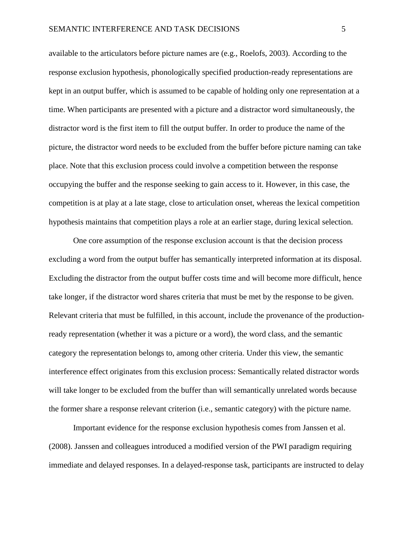available to the articulators before picture names are (e.g., Roelofs, 2003). According to the response exclusion hypothesis, phonologically specified production-ready representations are kept in an output buffer, which is assumed to be capable of holding only one representation at a time. When participants are presented with a picture and a distractor word simultaneously, the distractor word is the first item to fill the output buffer. In order to produce the name of the picture, the distractor word needs to be excluded from the buffer before picture naming can take place. Note that this exclusion process could involve a competition between the response occupying the buffer and the response seeking to gain access to it. However, in this case, the competition is at play at a late stage, close to articulation onset, whereas the lexical competition hypothesis maintains that competition plays a role at an earlier stage, during lexical selection.

One core assumption of the response exclusion account is that the decision process excluding a word from the output buffer has semantically interpreted information at its disposal. Excluding the distractor from the output buffer costs time and will become more difficult, hence take longer, if the distractor word shares criteria that must be met by the response to be given. Relevant criteria that must be fulfilled, in this account, include the provenance of the productionready representation (whether it was a picture or a word), the word class, and the semantic category the representation belongs to, among other criteria. Under this view, the semantic interference effect originates from this exclusion process: Semantically related distractor words will take longer to be excluded from the buffer than will semantically unrelated words because the former share a response relevant criterion (i.e., semantic category) with the picture name.

Important evidence for the response exclusion hypothesis comes from Janssen et al. (2008). Janssen and colleagues introduced a modified version of the PWI paradigm requiring immediate and delayed responses. In a delayed-response task, participants are instructed to delay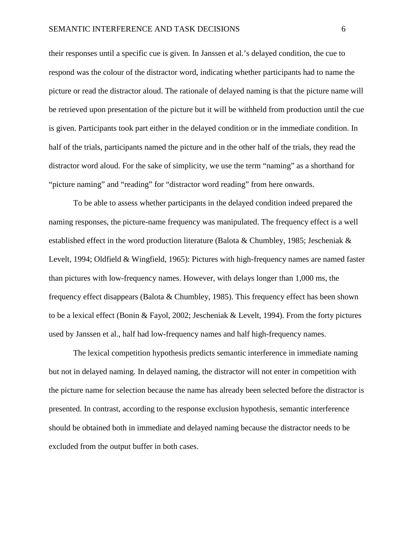their responses until a specific cue is given. In Janssen et al.'s delayed condition, the cue to respond was the colour of the distractor word, indicating whether participants had to name the picture or read the distractor aloud. The rationale of delayed naming is that the picture name will be retrieved upon presentation of the picture but it will be withheld from production until the cue is given. Participants took part either in the delayed condition or in the immediate condition. In half of the trials, participants named the picture and in the other half of the trials, they read the distractor word aloud. For the sake of simplicity, we use the term "naming" as a shorthand for "picture naming" and "reading" for "distractor word reading" from here onwards.

To be able to assess whether participants in the delayed condition indeed prepared the naming responses, the picture-name frequency was manipulated. The frequency effect is a well established effect in the word production literature (Balota & Chumbley, 1985; Jescheniak & Levelt, 1994; Oldfield & Wingfield, 1965): Pictures with high-frequency names are named faster than pictures with low-frequency names. However, with delays longer than 1,000 ms, the frequency effect disappears (Balota & Chumbley, 1985). This frequency effect has been shown to be a lexical effect (Bonin & Fayol, 2002; Jescheniak & Levelt, 1994). From the forty pictures used by Janssen et al., half had low-frequency names and half high-frequency names.

The lexical competition hypothesis predicts semantic interference in immediate naming but not in delayed naming. In delayed naming, the distractor will not enter in competition with the picture name for selection because the name has already been selected before the distractor is presented. In contrast, according to the response exclusion hypothesis, semantic interference should be obtained both in immediate and delayed naming because the distractor needs to be excluded from the output buffer in both cases.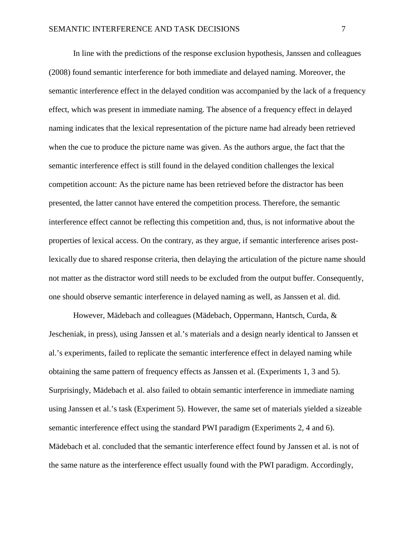In line with the predictions of the response exclusion hypothesis, Janssen and colleagues (2008) found semantic interference for both immediate and delayed naming. Moreover, the semantic interference effect in the delayed condition was accompanied by the lack of a frequency effect, which was present in immediate naming. The absence of a frequency effect in delayed naming indicates that the lexical representation of the picture name had already been retrieved when the cue to produce the picture name was given. As the authors argue, the fact that the semantic interference effect is still found in the delayed condition challenges the lexical competition account: As the picture name has been retrieved before the distractor has been presented, the latter cannot have entered the competition process. Therefore, the semantic interference effect cannot be reflecting this competition and, thus, is not informative about the properties of lexical access. On the contrary, as they argue, if semantic interference arises postlexically due to shared response criteria, then delaying the articulation of the picture name should not matter as the distractor word still needs to be excluded from the output buffer. Consequently, one should observe semantic interference in delayed naming as well, as Janssen et al. did.

However, Mädebach and colleagues (Mädebach, Oppermann, Hantsch, Curda, & Jescheniak, in press), using Janssen et al.'s materials and a design nearly identical to Janssen et al.'s experiments, failed to replicate the semantic interference effect in delayed naming while obtaining the same pattern of frequency effects as Janssen et al. (Experiments 1, 3 and 5). Surprisingly, Mädebach et al. also failed to obtain semantic interference in immediate naming using Janssen et al.'s task (Experiment 5). However, the same set of materials yielded a sizeable semantic interference effect using the standard PWI paradigm (Experiments 2, 4 and 6). Mädebach et al. concluded that the semantic interference effect found by Janssen et al. is not of the same nature as the interference effect usually found with the PWI paradigm. Accordingly,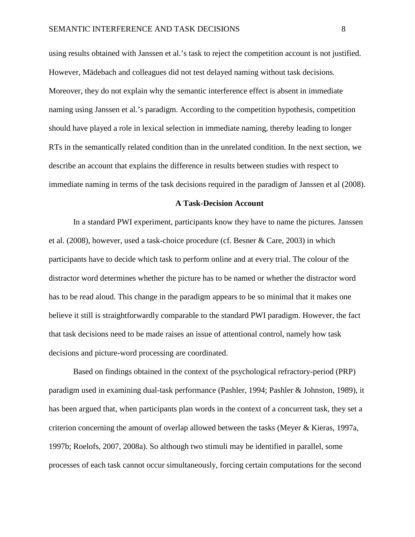using results obtained with Janssen et al.'s task to reject the competition account is not justified. However, Mädebach and colleagues did not test delayed naming without task decisions. Moreover, they do not explain why the semantic interference effect is absent in immediate naming using Janssen et al.'s paradigm. According to the competition hypothesis, competition should have played a role in lexical selection in immediate naming, thereby leading to longer RTs in the semantically related condition than in the unrelated condition. In the next section, we describe an account that explains the difference in results between studies with respect to immediate naming in terms of the task decisions required in the paradigm of Janssen et al (2008).

#### **A Task-Decision Account**

In a standard PWI experiment, participants know they have to name the pictures. Janssen et al. (2008), however, used a task-choice procedure (cf. Besner & Care, 2003) in which participants have to decide which task to perform online and at every trial. The colour of the distractor word determines whether the picture has to be named or whether the distractor word has to be read aloud. This change in the paradigm appears to be so minimal that it makes one believe it still is straightforwardly comparable to the standard PWI paradigm. However, the fact that task decisions need to be made raises an issue of attentional control, namely how task decisions and picture-word processing are coordinated.

Based on findings obtained in the context of the psychological refractory-period (PRP) paradigm used in examining dual-task performance (Pashler, 1994; Pashler & Johnston, 1989), it has been argued that, when participants plan words in the context of a concurrent task, they set a criterion concerning the amount of overlap allowed between the tasks (Meyer & Kieras, 1997a, 1997b; Roelofs, 2007, 2008a). So although two stimuli may be identified in parallel, some processes of each task cannot occur simultaneously, forcing certain computations for the second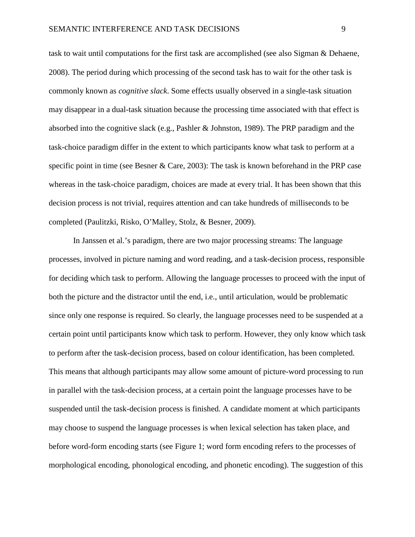task to wait until computations for the first task are accomplished (see also Sigman & Dehaene, 2008). The period during which processing of the second task has to wait for the other task is commonly known as *cognitive slack*. Some effects usually observed in a single-task situation may disappear in a dual-task situation because the processing time associated with that effect is absorbed into the cognitive slack (e.g., Pashler & Johnston, 1989). The PRP paradigm and the task-choice paradigm differ in the extent to which participants know what task to perform at a specific point in time (see Besner & Care, 2003): The task is known beforehand in the PRP case whereas in the task-choice paradigm, choices are made at every trial. It has been shown that this decision process is not trivial, requires attention and can take hundreds of milliseconds to be completed (Paulitzki, Risko, O'Malley, Stolz, & Besner, 2009).

In Janssen et al.'s paradigm, there are two major processing streams: The language processes, involved in picture naming and word reading, and a task-decision process, responsible for deciding which task to perform. Allowing the language processes to proceed with the input of both the picture and the distractor until the end, i.e., until articulation, would be problematic since only one response is required. So clearly, the language processes need to be suspended at a certain point until participants know which task to perform. However, they only know which task to perform after the task-decision process, based on colour identification, has been completed. This means that although participants may allow some amount of picture-word processing to run in parallel with the task-decision process, at a certain point the language processes have to be suspended until the task-decision process is finished. A candidate moment at which participants may choose to suspend the language processes is when lexical selection has taken place, and before word-form encoding starts (see Figure 1; word form encoding refers to the processes of morphological encoding, phonological encoding, and phonetic encoding). The suggestion of this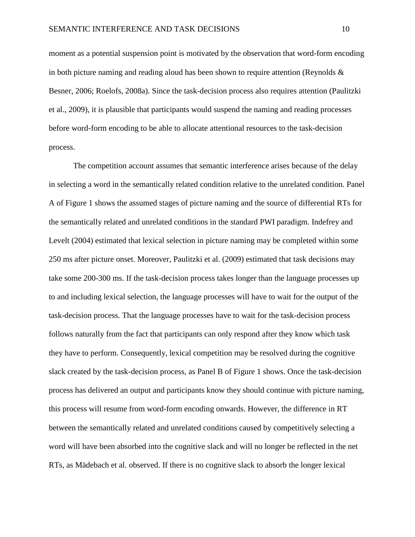moment as a potential suspension point is motivated by the observation that word-form encoding in both picture naming and reading aloud has been shown to require attention (Reynolds & Besner, 2006; Roelofs, 2008a). Since the task-decision process also requires attention (Paulitzki et al., 2009), it is plausible that participants would suspend the naming and reading processes before word-form encoding to be able to allocate attentional resources to the task-decision process.

The competition account assumes that semantic interference arises because of the delay in selecting a word in the semantically related condition relative to the unrelated condition. Panel A of Figure 1 shows the assumed stages of picture naming and the source of differential RTs for the semantically related and unrelated conditions in the standard PWI paradigm. Indefrey and Levelt (2004) estimated that lexical selection in picture naming may be completed within some 250 ms after picture onset. Moreover, Paulitzki et al. (2009) estimated that task decisions may take some 200-300 ms. If the task-decision process takes longer than the language processes up to and including lexical selection, the language processes will have to wait for the output of the task-decision process. That the language processes have to wait for the task-decision process follows naturally from the fact that participants can only respond after they know which task they have to perform. Consequently, lexical competition may be resolved during the cognitive slack created by the task-decision process, as Panel B of Figure 1 shows. Once the task-decision process has delivered an output and participants know they should continue with picture naming, this process will resume from word-form encoding onwards. However, the difference in RT between the semantically related and unrelated conditions caused by competitively selecting a word will have been absorbed into the cognitive slack and will no longer be reflected in the net RTs, as Mädebach et al. observed. If there is no cognitive slack to absorb the longer lexical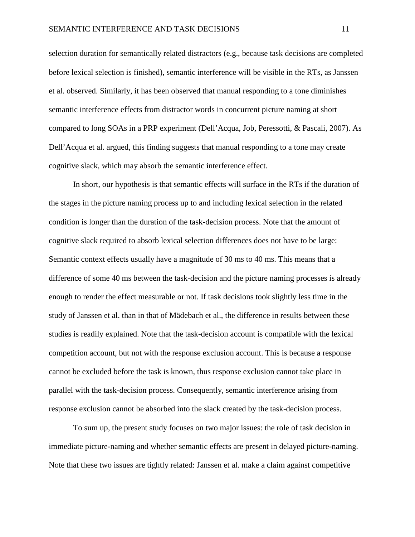selection duration for semantically related distractors (e.g., because task decisions are completed before lexical selection is finished), semantic interference will be visible in the RTs, as Janssen et al. observed. Similarly, it has been observed that manual responding to a tone diminishes semantic interference effects from distractor words in concurrent picture naming at short compared to long SOAs in a PRP experiment (Dell'Acqua, Job, Peressotti, & Pascali, 2007). As Dell'Acqua et al. argued, this finding suggests that manual responding to a tone may create cognitive slack, which may absorb the semantic interference effect.

In short, our hypothesis is that semantic effects will surface in the RTs if the duration of the stages in the picture naming process up to and including lexical selection in the related condition is longer than the duration of the task-decision process. Note that the amount of cognitive slack required to absorb lexical selection differences does not have to be large: Semantic context effects usually have a magnitude of 30 ms to 40 ms. This means that a difference of some 40 ms between the task-decision and the picture naming processes is already enough to render the effect measurable or not. If task decisions took slightly less time in the study of Janssen et al. than in that of Mädebach et al., the difference in results between these studies is readily explained. Note that the task-decision account is compatible with the lexical competition account, but not with the response exclusion account. This is because a response cannot be excluded before the task is known, thus response exclusion cannot take place in parallel with the task-decision process. Consequently, semantic interference arising from response exclusion cannot be absorbed into the slack created by the task-decision process.

To sum up, the present study focuses on two major issues: the role of task decision in immediate picture-naming and whether semantic effects are present in delayed picture-naming. Note that these two issues are tightly related: Janssen et al. make a claim against competitive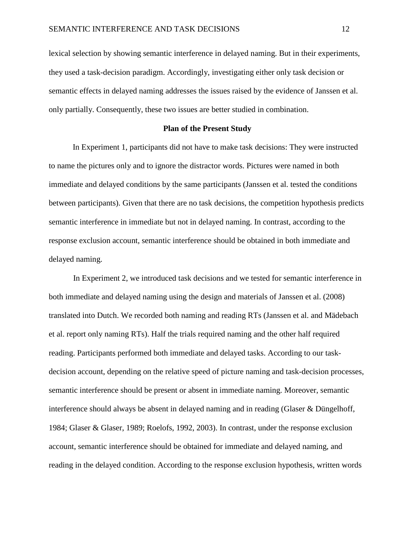lexical selection by showing semantic interference in delayed naming. But in their experiments, they used a task-decision paradigm. Accordingly, investigating either only task decision or semantic effects in delayed naming addresses the issues raised by the evidence of Janssen et al. only partially. Consequently, these two issues are better studied in combination.

## **Plan of the Present Study**

In Experiment 1, participants did not have to make task decisions: They were instructed to name the pictures only and to ignore the distractor words. Pictures were named in both immediate and delayed conditions by the same participants (Janssen et al. tested the conditions between participants). Given that there are no task decisions, the competition hypothesis predicts semantic interference in immediate but not in delayed naming. In contrast, according to the response exclusion account, semantic interference should be obtained in both immediate and delayed naming.

In Experiment 2, we introduced task decisions and we tested for semantic interference in both immediate and delayed naming using the design and materials of Janssen et al. (2008) translated into Dutch. We recorded both naming and reading RTs (Janssen et al. and Mädebach et al. report only naming RTs). Half the trials required naming and the other half required reading. Participants performed both immediate and delayed tasks. According to our taskdecision account, depending on the relative speed of picture naming and task-decision processes, semantic interference should be present or absent in immediate naming. Moreover, semantic interference should always be absent in delayed naming and in reading (Glaser & Düngelhoff, 1984; Glaser & Glaser, 1989; Roelofs, 1992, 2003). In contrast, under the response exclusion account, semantic interference should be obtained for immediate and delayed naming, and reading in the delayed condition. According to the response exclusion hypothesis, written words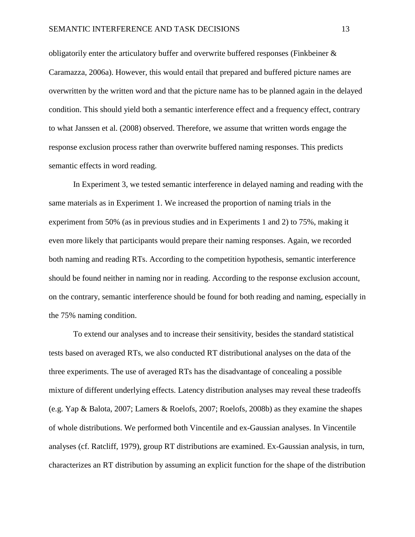obligatorily enter the articulatory buffer and overwrite buffered responses (Finkbeiner  $\&$ Caramazza, 2006a). However, this would entail that prepared and buffered picture names are overwritten by the written word and that the picture name has to be planned again in the delayed condition. This should yield both a semantic interference effect and a frequency effect, contrary to what Janssen et al. (2008) observed. Therefore, we assume that written words engage the response exclusion process rather than overwrite buffered naming responses. This predicts semantic effects in word reading.

In Experiment 3, we tested semantic interference in delayed naming and reading with the same materials as in Experiment 1. We increased the proportion of naming trials in the experiment from 50% (as in previous studies and in Experiments 1 and 2) to 75%, making it even more likely that participants would prepare their naming responses. Again, we recorded both naming and reading RTs. According to the competition hypothesis, semantic interference should be found neither in naming nor in reading. According to the response exclusion account, on the contrary, semantic interference should be found for both reading and naming, especially in the 75% naming condition.

To extend our analyses and to increase their sensitivity, besides the standard statistical tests based on averaged RTs, we also conducted RT distributional analyses on the data of the three experiments. The use of averaged RTs has the disadvantage of concealing a possible mixture of different underlying effects. Latency distribution analyses may reveal these tradeoffs (e.g. Yap & Balota, 2007; Lamers & Roelofs, 2007; Roelofs, 2008b) as they examine the shapes of whole distributions. We performed both Vincentile and ex-Gaussian analyses. In Vincentile analyses (cf. Ratcliff, 1979), group RT distributions are examined. Ex-Gaussian analysis, in turn, characterizes an RT distribution by assuming an explicit function for the shape of the distribution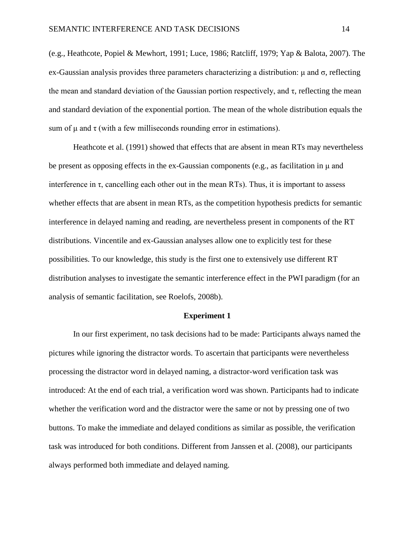(e.g., Heathcote, Popiel & Mewhort, 1991; Luce, 1986; Ratcliff, 1979; Yap & Balota, 2007). The ex-Gaussian analysis provides three parameters characterizing a distribution: μ and σ, reflecting the mean and standard deviation of the Gaussian portion respectively, and  $\tau$ , reflecting the mean and standard deviation of the exponential portion. The mean of the whole distribution equals the sum of  $\mu$  and  $\tau$  (with a few milliseconds rounding error in estimations).

Heathcote et al. (1991) showed that effects that are absent in mean RTs may nevertheless be present as opposing effects in the ex-Gaussian components (e.g., as facilitation in μ and interference in  $\tau$ , cancelling each other out in the mean RTs). Thus, it is important to assess whether effects that are absent in mean RTs, as the competition hypothesis predicts for semantic interference in delayed naming and reading, are nevertheless present in components of the RT distributions. Vincentile and ex-Gaussian analyses allow one to explicitly test for these possibilities. To our knowledge, this study is the first one to extensively use different RT distribution analyses to investigate the semantic interference effect in the PWI paradigm (for an analysis of semantic facilitation, see Roelofs, 2008b).

#### **Experiment 1**

In our first experiment, no task decisions had to be made: Participants always named the pictures while ignoring the distractor words. To ascertain that participants were nevertheless processing the distractor word in delayed naming, a distractor-word verification task was introduced: At the end of each trial, a verification word was shown. Participants had to indicate whether the verification word and the distractor were the same or not by pressing one of two buttons. To make the immediate and delayed conditions as similar as possible, the verification task was introduced for both conditions. Different from Janssen et al. (2008), our participants always performed both immediate and delayed naming.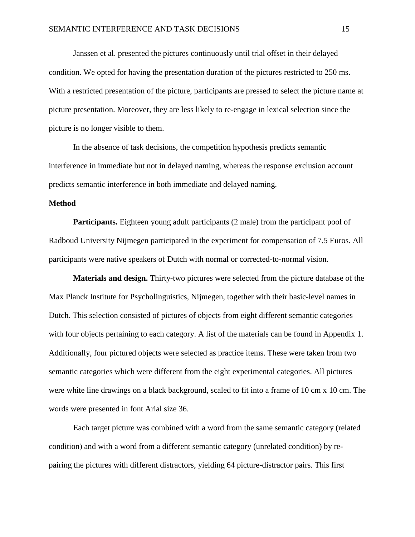Janssen et al. presented the pictures continuously until trial offset in their delayed condition. We opted for having the presentation duration of the pictures restricted to 250 ms. With a restricted presentation of the picture, participants are pressed to select the picture name at picture presentation. Moreover, they are less likely to re-engage in lexical selection since the picture is no longer visible to them.

In the absence of task decisions, the competition hypothesis predicts semantic interference in immediate but not in delayed naming, whereas the response exclusion account predicts semantic interference in both immediate and delayed naming.

## **Method**

**Participants.** Eighteen young adult participants (2 male) from the participant pool of Radboud University Nijmegen participated in the experiment for compensation of 7.5 Euros. All participants were native speakers of Dutch with normal or corrected-to-normal vision.

**Materials and design.** Thirty-two pictures were selected from the picture database of the Max Planck Institute for Psycholinguistics, Nijmegen, together with their basic-level names in Dutch. This selection consisted of pictures of objects from eight different semantic categories with four objects pertaining to each category. A list of the materials can be found in Appendix 1. Additionally, four pictured objects were selected as practice items. These were taken from two semantic categories which were different from the eight experimental categories. All pictures were white line drawings on a black background, scaled to fit into a frame of 10 cm x 10 cm. The words were presented in font Arial size 36.

Each target picture was combined with a word from the same semantic category (related condition) and with a word from a different semantic category (unrelated condition) by repairing the pictures with different distractors, yielding 64 picture-distractor pairs. This first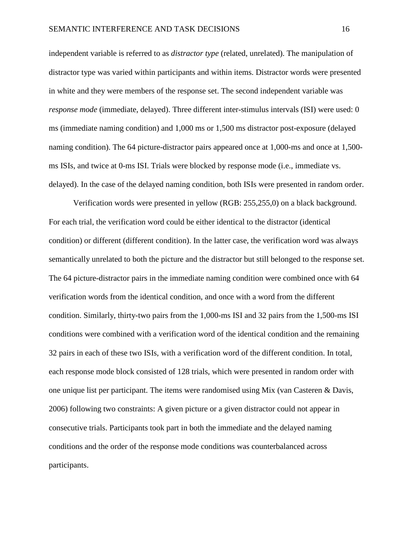independent variable is referred to as *distractor type* (related, unrelated). The manipulation of distractor type was varied within participants and within items. Distractor words were presented in white and they were members of the response set. The second independent variable was *response mode* (immediate, delayed). Three different inter-stimulus intervals (ISI) were used: 0 ms (immediate naming condition) and 1,000 ms or 1,500 ms distractor post-exposure (delayed naming condition). The 64 picture-distractor pairs appeared once at 1,000-ms and once at 1,500 ms ISIs, and twice at 0-ms ISI. Trials were blocked by response mode (i.e., immediate vs. delayed). In the case of the delayed naming condition, both ISIs were presented in random order.

Verification words were presented in yellow (RGB: 255,255,0) on a black background. For each trial, the verification word could be either identical to the distractor (identical condition) or different (different condition). In the latter case, the verification word was always semantically unrelated to both the picture and the distractor but still belonged to the response set. The 64 picture-distractor pairs in the immediate naming condition were combined once with 64 verification words from the identical condition, and once with a word from the different condition. Similarly, thirty-two pairs from the 1,000-ms ISI and 32 pairs from the 1,500-ms ISI conditions were combined with a verification word of the identical condition and the remaining 32 pairs in each of these two ISIs, with a verification word of the different condition. In total, each response mode block consisted of 128 trials, which were presented in random order with one unique list per participant. The items were randomised using Mix (van Casteren & Davis, 2006) following two constraints: A given picture or a given distractor could not appear in consecutive trials. Participants took part in both the immediate and the delayed naming conditions and the order of the response mode conditions was counterbalanced across participants.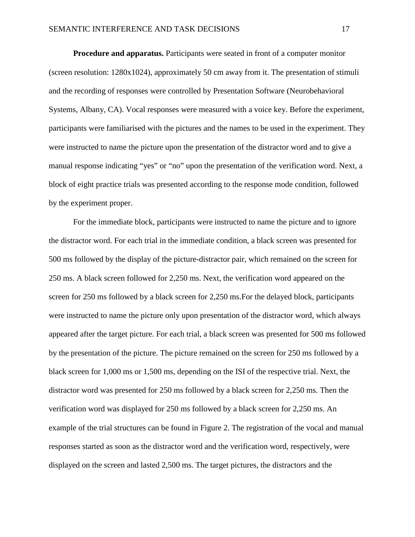**Procedure and apparatus.** Participants were seated in front of a computer monitor (screen resolution: 1280x1024), approximately 50 cm away from it. The presentation of stimuli and the recording of responses were controlled by Presentation Software (Neurobehavioral Systems, Albany, CA). Vocal responses were measured with a voice key. Before the experiment, participants were familiarised with the pictures and the names to be used in the experiment. They were instructed to name the picture upon the presentation of the distractor word and to give a manual response indicating "yes" or "no" upon the presentation of the verification word. Next, a block of eight practice trials was presented according to the response mode condition, followed by the experiment proper.

For the immediate block, participants were instructed to name the picture and to ignore the distractor word. For each trial in the immediate condition, a black screen was presented for 500 ms followed by the display of the picture-distractor pair, which remained on the screen for 250 ms. A black screen followed for 2,250 ms. Next, the verification word appeared on the screen for 250 ms followed by a black screen for 2,250 ms.For the delayed block, participants were instructed to name the picture only upon presentation of the distractor word, which always appeared after the target picture. For each trial, a black screen was presented for 500 ms followed by the presentation of the picture. The picture remained on the screen for 250 ms followed by a black screen for 1,000 ms or 1,500 ms, depending on the ISI of the respective trial. Next, the distractor word was presented for 250 ms followed by a black screen for 2,250 ms. Then the verification word was displayed for 250 ms followed by a black screen for 2,250 ms. An example of the trial structures can be found in Figure 2. The registration of the vocal and manual responses started as soon as the distractor word and the verification word, respectively, were displayed on the screen and lasted 2,500 ms. The target pictures, the distractors and the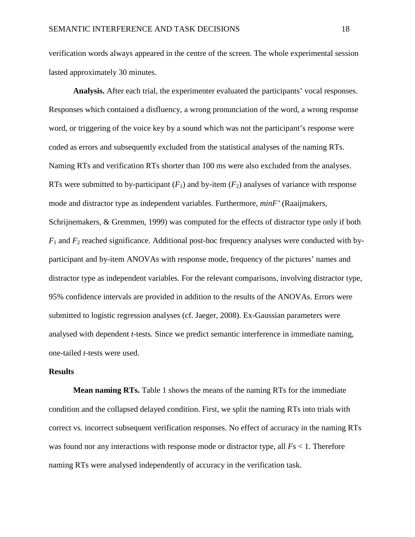verification words always appeared in the centre of the screen. The whole experimental session lasted approximately 30 minutes.

**Analysis.** After each trial, the experimenter evaluated the participants' vocal responses. Responses which contained a disfluency, a wrong pronunciation of the word, a wrong response word, or triggering of the voice key by a sound which was not the participant's response were coded as errors and subsequently excluded from the statistical analyses of the naming RTs. Naming RTs and verification RTs shorter than 100 ms were also excluded from the analyses. RTs were submitted to by-participant  $(F_1)$  and by-item  $(F_2)$  analyses of variance with response mode and distractor type as independent variables. Furthermore, *minF'* (Raaijmakers, Schrijnemakers, & Gremmen, 1999) was computed for the effects of distractor type only if both  $F_1$  and  $F_2$  reached significance. Additional post-hoc frequency analyses were conducted with byparticipant and by-item ANOVAs with response mode, frequency of the pictures' names and distractor type as independent variables. For the relevant comparisons, involving distractor type, 95% confidence intervals are provided in addition to the results of the ANOVAs. Errors were submitted to logistic regression analyses (cf. Jaeger, 2008). Ex-Gaussian parameters were analysed with dependent *t*-tests. Since we predict semantic interference in immediate naming, one-tailed *t*-tests were used.

# **Results**

**Mean naming RTs.** Table 1 shows the means of the naming RTs for the immediate condition and the collapsed delayed condition. First, we split the naming RTs into trials with correct vs. incorrect subsequent verification responses. No effect of accuracy in the naming RTs was found nor any interactions with response mode or distractor type, all *F*s < 1. Therefore naming RTs were analysed independently of accuracy in the verification task.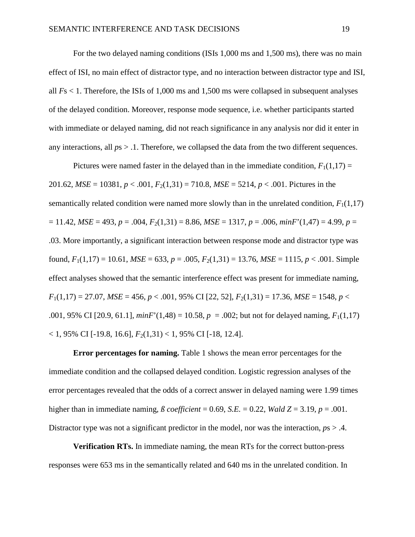For the two delayed naming conditions (ISIs 1,000 ms and 1,500 ms), there was no main effect of ISI, no main effect of distractor type, and no interaction between distractor type and ISI, all *F*s < 1. Therefore, the ISIs of 1,000 ms and 1,500 ms were collapsed in subsequent analyses of the delayed condition. Moreover, response mode sequence, i.e. whether participants started with immediate or delayed naming, did not reach significance in any analysis nor did it enter in any interactions, all *p*s > .1. Therefore, we collapsed the data from the two different sequences.

Pictures were named faster in the delayed than in the immediate condition,  $F_1(1,17) =$ 201.62, *MSE* = 10381, *p* < .001, *F*2(1,31) = 710.8, *MSE* = 5214, *p* < .001. Pictures in the semantically related condition were named more slowly than in the unrelated condition,  $F_1(1,17)$  $= 11.42, MSE = 493, p = .004, F<sub>2</sub>(1,31) = 8.86, MSE = 1317, p = .006, minF'(1,47) = 4.99, p = .006$ .03. More importantly, a significant interaction between response mode and distractor type was found,  $F_1(1,17) = 10.61$ ,  $MSE = 633$ ,  $p = .005$ ,  $F_2(1,31) = 13.76$ ,  $MSE = 1115$ ,  $p < .001$ . Simple effect analyses showed that the semantic interference effect was present for immediate naming, *F*1(1,17) = 27.07, *MSE* = 456, *p* < .001, 95% CI [22, 52], *F*2(1,31) = 17.36, *MSE* = 1548, *p* < .001, 95% CI [20.9, 61.1],  $minF'(1,48) = 10.58$ ,  $p = .002$ ; but not for delayed naming,  $F_1(1,17)$  $<$  1, 95% CI [-19.8, 16.6],  $F_2(1,31)$  < 1, 95% CI [-18, 12.4].

**Error percentages for naming.** Table 1 shows the mean error percentages for the immediate condition and the collapsed delayed condition. Logistic regression analyses of the error percentages revealed that the odds of a correct answer in delayed naming were 1.99 times higher than in immediate naming,  $\beta$  coefficient = 0.69, *S.E.* = 0.22, *Wald*  $Z = 3.19$ ,  $p = .001$ . Distractor type was not a significant predictor in the model, nor was the interaction,  $ps > .4$ .

**Verification RTs.** In immediate naming, the mean RTs for the correct button-press responses were 653 ms in the semantically related and 640 ms in the unrelated condition. In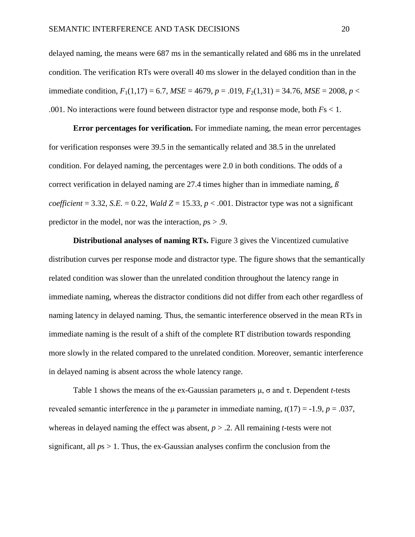delayed naming, the means were 687 ms in the semantically related and 686 ms in the unrelated condition. The verification RTs were overall 40 ms slower in the delayed condition than in the immediate condition,  $F_1(1,17) = 6.7$ ,  $MSE = 4679$ ,  $p = .019$ ,  $F_2(1,31) = 34.76$ ,  $MSE = 2008$ ,  $p <$ .001. No interactions were found between distractor type and response mode, both *F*s < 1.

**Error percentages for verification.** For immediate naming, the mean error percentages for verification responses were 39.5 in the semantically related and 38.5 in the unrelated condition. For delayed naming, the percentages were 2.0 in both conditions. The odds of a correct verification in delayed naming are 27.4 times higher than in immediate naming,  $\beta$ *coefficient* = 3.32, *S.E.* = 0.22, *Wald*  $Z = 15.33$ ,  $p < .001$ . Distractor type was not a significant predictor in the model, nor was the interaction, *p*s > .9.

**Distributional analyses of naming RTs.** Figure 3 gives the Vincentized cumulative distribution curves per response mode and distractor type. The figure shows that the semantically related condition was slower than the unrelated condition throughout the latency range in immediate naming, whereas the distractor conditions did not differ from each other regardless of naming latency in delayed naming. Thus, the semantic interference observed in the mean RTs in immediate naming is the result of a shift of the complete RT distribution towards responding more slowly in the related compared to the unrelated condition. Moreover, semantic interference in delayed naming is absent across the whole latency range.

Table 1 shows the means of the ex-Gaussian parameters  $\mu$ ,  $\sigma$  and  $\tau$ . Dependent *t*-tests revealed semantic interference in the  $\mu$  parameter in immediate naming,  $t(17) = -1.9$ ,  $p = .037$ , whereas in delayed naming the effect was absent, *p* > .2. All remaining *t*-tests were not significant, all *p*s > 1. Thus, the ex-Gaussian analyses confirm the conclusion from the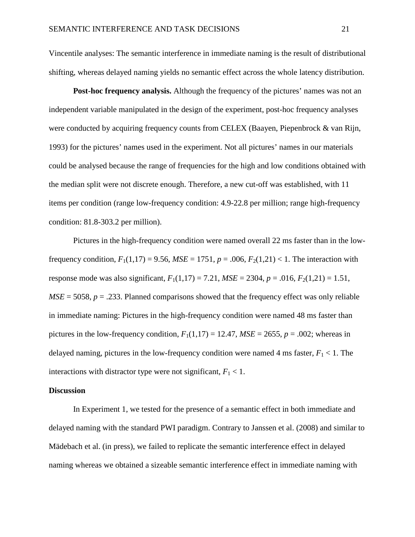Vincentile analyses: The semantic interference in immediate naming is the result of distributional shifting, whereas delayed naming yields no semantic effect across the whole latency distribution.

**Post-hoc frequency analysis.** Although the frequency of the pictures' names was not an independent variable manipulated in the design of the experiment, post-hoc frequency analyses were conducted by acquiring frequency counts from CELEX (Baayen, Piepenbrock & van Rijn, 1993) for the pictures' names used in the experiment. Not all pictures' names in our materials could be analysed because the range of frequencies for the high and low conditions obtained with the median split were not discrete enough. Therefore, a new cut-off was established, with 11 items per condition (range low-frequency condition: 4.9-22.8 per million; range high-frequency condition: 81.8-303.2 per million).

Pictures in the high-frequency condition were named overall 22 ms faster than in the lowfrequency condition,  $F_1(1,17) = 9.56$ ,  $MSE = 1751$ ,  $p = .006$ ,  $F_2(1,21) < 1$ . The interaction with response mode was also significant,  $F_1(1,17) = 7.21$ ,  $MSE = 2304$ ,  $p = .016$ ,  $F_2(1,21) = 1.51$ ,  $MSE = 5058$ ,  $p = .233$ . Planned comparisons showed that the frequency effect was only reliable in immediate naming: Pictures in the high-frequency condition were named 48 ms faster than pictures in the low-frequency condition,  $F_1(1,17) = 12.47$ ,  $MSE = 2655$ ,  $p = .002$ ; whereas in delayed naming, pictures in the low-frequency condition were named 4 ms faster,  $F_1 < 1$ . The interactions with distractor type were not significant,  $F_1 < 1$ .

#### **Discussion**

In Experiment 1, we tested for the presence of a semantic effect in both immediate and delayed naming with the standard PWI paradigm. Contrary to Janssen et al. (2008) and similar to Mädebach et al. (in press), we failed to replicate the semantic interference effect in delayed naming whereas we obtained a sizeable semantic interference effect in immediate naming with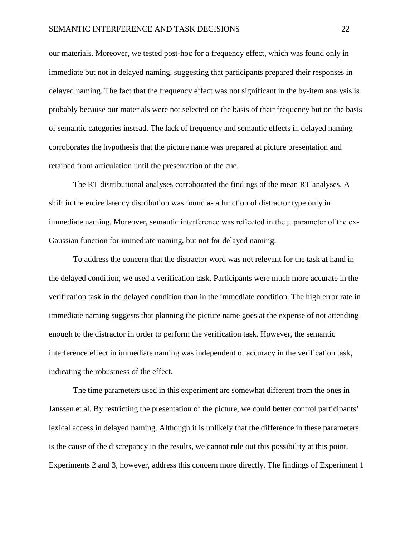our materials. Moreover, we tested post-hoc for a frequency effect, which was found only in immediate but not in delayed naming, suggesting that participants prepared their responses in delayed naming. The fact that the frequency effect was not significant in the by-item analysis is probably because our materials were not selected on the basis of their frequency but on the basis of semantic categories instead. The lack of frequency and semantic effects in delayed naming corroborates the hypothesis that the picture name was prepared at picture presentation and retained from articulation until the presentation of the cue.

The RT distributional analyses corroborated the findings of the mean RT analyses. A shift in the entire latency distribution was found as a function of distractor type only in immediate naming. Moreover, semantic interference was reflected in the μ parameter of the ex-Gaussian function for immediate naming, but not for delayed naming.

To address the concern that the distractor word was not relevant for the task at hand in the delayed condition, we used a verification task. Participants were much more accurate in the verification task in the delayed condition than in the immediate condition. The high error rate in immediate naming suggests that planning the picture name goes at the expense of not attending enough to the distractor in order to perform the verification task. However, the semantic interference effect in immediate naming was independent of accuracy in the verification task, indicating the robustness of the effect.

The time parameters used in this experiment are somewhat different from the ones in Janssen et al. By restricting the presentation of the picture, we could better control participants' lexical access in delayed naming. Although it is unlikely that the difference in these parameters is the cause of the discrepancy in the results, we cannot rule out this possibility at this point. Experiments 2 and 3, however, address this concern more directly. The findings of Experiment 1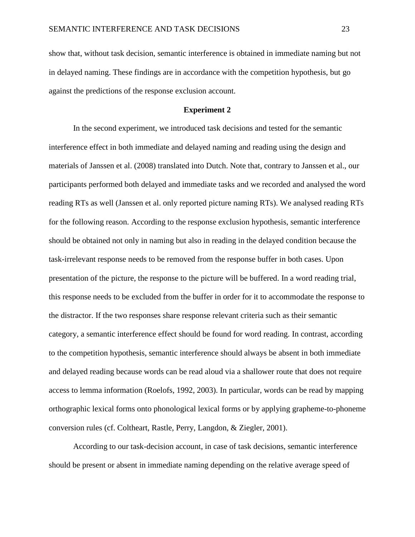show that, without task decision, semantic interference is obtained in immediate naming but not in delayed naming. These findings are in accordance with the competition hypothesis, but go against the predictions of the response exclusion account.

## **Experiment 2**

In the second experiment, we introduced task decisions and tested for the semantic interference effect in both immediate and delayed naming and reading using the design and materials of Janssen et al. (2008) translated into Dutch. Note that, contrary to Janssen et al., our participants performed both delayed and immediate tasks and we recorded and analysed the word reading RTs as well (Janssen et al. only reported picture naming RTs). We analysed reading RTs for the following reason. According to the response exclusion hypothesis, semantic interference should be obtained not only in naming but also in reading in the delayed condition because the task-irrelevant response needs to be removed from the response buffer in both cases. Upon presentation of the picture, the response to the picture will be buffered. In a word reading trial, this response needs to be excluded from the buffer in order for it to accommodate the response to the distractor. If the two responses share response relevant criteria such as their semantic category, a semantic interference effect should be found for word reading. In contrast, according to the competition hypothesis, semantic interference should always be absent in both immediate and delayed reading because words can be read aloud via a shallower route that does not require access to lemma information (Roelofs, 1992, 2003). In particular, words can be read by mapping orthographic lexical forms onto phonological lexical forms or by applying grapheme-to-phoneme conversion rules (cf. Coltheart, Rastle, Perry, Langdon, & Ziegler, 2001).

According to our task-decision account, in case of task decisions, semantic interference should be present or absent in immediate naming depending on the relative average speed of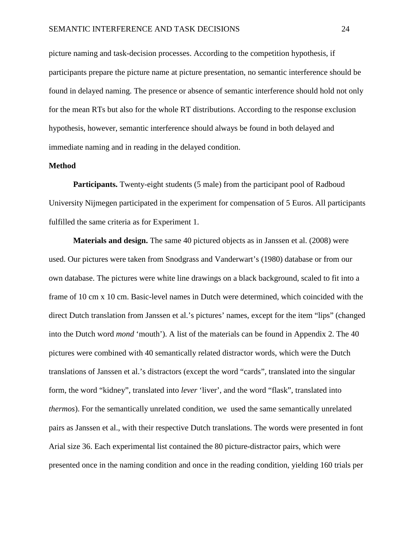picture naming and task-decision processes. According to the competition hypothesis, if participants prepare the picture name at picture presentation, no semantic interference should be found in delayed naming. The presence or absence of semantic interference should hold not only for the mean RTs but also for the whole RT distributions. According to the response exclusion hypothesis, however, semantic interference should always be found in both delayed and immediate naming and in reading in the delayed condition.

# **Method**

**Participants.** Twenty-eight students (5 male) from the participant pool of Radboud University Nijmegen participated in the experiment for compensation of 5 Euros. All participants fulfilled the same criteria as for Experiment 1.

**Materials and design.** The same 40 pictured objects as in Janssen et al. (2008) were used. Our pictures were taken from Snodgrass and Vanderwart's (1980) database or from our own database. The pictures were white line drawings on a black background, scaled to fit into a frame of 10 cm x 10 cm. Basic-level names in Dutch were determined, which coincided with the direct Dutch translation from Janssen et al.'s pictures' names, except for the item "lips" (changed into the Dutch word *mond* 'mouth'). A list of the materials can be found in Appendix 2. The 40 pictures were combined with 40 semantically related distractor words, which were the Dutch translations of Janssen et al.'s distractors (except the word "cards", translated into the singular form, the word "kidney", translated into *lever* 'liver', and the word "flask", translated into *thermos*). For the semantically unrelated condition, we used the same semantically unrelated pairs as Janssen et al., with their respective Dutch translations. The words were presented in font Arial size 36. Each experimental list contained the 80 picture-distractor pairs, which were presented once in the naming condition and once in the reading condition, yielding 160 trials per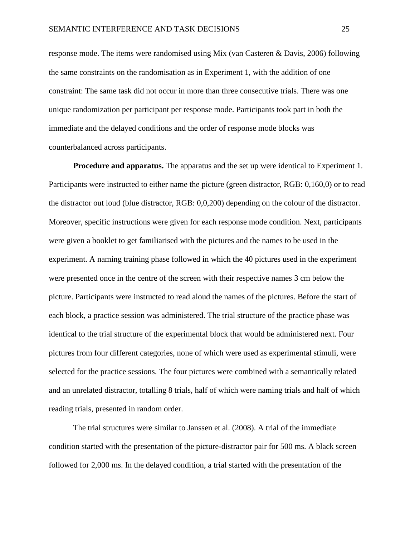response mode. The items were randomised using Mix (van Casteren & Davis, 2006) following the same constraints on the randomisation as in Experiment 1, with the addition of one constraint: The same task did not occur in more than three consecutive trials. There was one unique randomization per participant per response mode. Participants took part in both the immediate and the delayed conditions and the order of response mode blocks was counterbalanced across participants.

**Procedure and apparatus.** The apparatus and the set up were identical to Experiment 1. Participants were instructed to either name the picture (green distractor, RGB: 0,160,0) or to read the distractor out loud (blue distractor, RGB: 0,0,200) depending on the colour of the distractor. Moreover, specific instructions were given for each response mode condition. Next, participants were given a booklet to get familiarised with the pictures and the names to be used in the experiment. A naming training phase followed in which the 40 pictures used in the experiment were presented once in the centre of the screen with their respective names 3 cm below the picture. Participants were instructed to read aloud the names of the pictures. Before the start of each block, a practice session was administered. The trial structure of the practice phase was identical to the trial structure of the experimental block that would be administered next. Four pictures from four different categories, none of which were used as experimental stimuli, were selected for the practice sessions. The four pictures were combined with a semantically related and an unrelated distractor, totalling 8 trials, half of which were naming trials and half of which reading trials, presented in random order.

The trial structures were similar to Janssen et al. (2008). A trial of the immediate condition started with the presentation of the picture-distractor pair for 500 ms. A black screen followed for 2,000 ms. In the delayed condition, a trial started with the presentation of the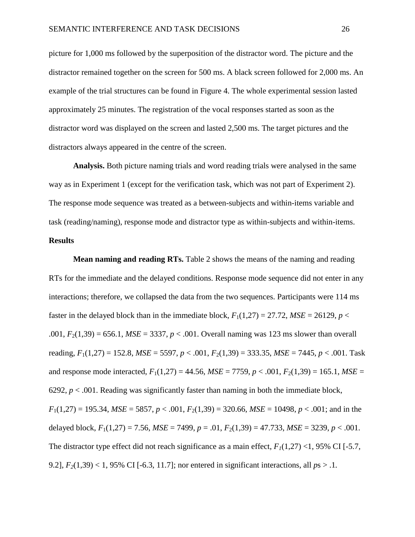picture for 1,000 ms followed by the superposition of the distractor word. The picture and the distractor remained together on the screen for 500 ms. A black screen followed for 2,000 ms. An example of the trial structures can be found in Figure 4. The whole experimental session lasted approximately 25 minutes. The registration of the vocal responses started as soon as the distractor word was displayed on the screen and lasted 2,500 ms. The target pictures and the distractors always appeared in the centre of the screen.

**Analysis.** Both picture naming trials and word reading trials were analysed in the same way as in Experiment 1 (except for the verification task, which was not part of Experiment 2). The response mode sequence was treated as a between-subjects and within-items variable and task (reading/naming), response mode and distractor type as within-subjects and within-items. **Results**

**Mean naming and reading RTs.** Table 2 shows the means of the naming and reading RTs for the immediate and the delayed conditions. Response mode sequence did not enter in any interactions; therefore, we collapsed the data from the two sequences. Participants were 114 ms faster in the delayed block than in the immediate block,  $F_1(1,27) = 27.72$ ,  $MSE = 26129$ ,  $p <$ .001,  $F_2(1,39) = 656.1$ ,  $MSE = 3337$ ,  $p < .001$ . Overall naming was 123 ms slower than overall reading, *F*1(1,27) = 152.8, *MSE* = 5597, *p* < .001, *F*2(1,39) = 333.35, *MSE* = 7445, *p* < .001. Task and response mode interacted,  $F_1(1,27) = 44.56$ ,  $MSE = 7759$ ,  $p < .001$ ,  $F_2(1,39) = 165.1$ ,  $MSE =$ 6292,  $p < .001$ . Reading was significantly faster than naming in both the immediate block,  $F_1(1,27) = 195.34$ , *MSE* = 5857, *p* < .001,  $F_2(1,39) = 320.66$ , *MSE* = 10498, *p* < .001; and in the delayed block,  $F_1(1,27) = 7.56$ ,  $MSE = 7499$ ,  $p = .01$ ,  $F_2(1,39) = 47.733$ ,  $MSE = 3239$ ,  $p < .001$ . The distractor type effect did not reach significance as a main effect,  $F_1(1,27)$  <1, 95% CI [-5.7, 9.2],  $F_2(1,39) < 1,95\%$  CI [-6.3, 11.7]; nor entered in significant interactions, all  $ps > 1$ .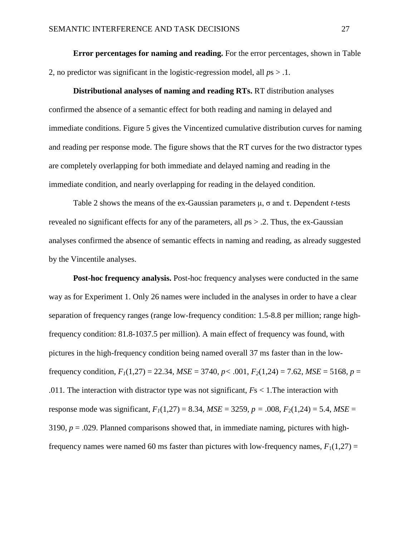**Error percentages for naming and reading.** For the error percentages, shown in Table 2, no predictor was significant in the logistic-regression model, all *p*s > .1.

**Distributional analyses of naming and reading RTs.** RT distribution analyses confirmed the absence of a semantic effect for both reading and naming in delayed and immediate conditions. Figure 5 gives the Vincentized cumulative distribution curves for naming and reading per response mode. The figure shows that the RT curves for the two distractor types are completely overlapping for both immediate and delayed naming and reading in the immediate condition, and nearly overlapping for reading in the delayed condition.

Table 2 shows the means of the ex-Gaussian parameters  $\mu$ ,  $\sigma$  and  $\tau$ . Dependent *t*-tests revealed no significant effects for any of the parameters, all *p*s > .2. Thus, the ex-Gaussian analyses confirmed the absence of semantic effects in naming and reading, as already suggested by the Vincentile analyses.

**Post-hoc frequency analysis.** Post-hoc frequency analyses were conducted in the same way as for Experiment 1. Only 26 names were included in the analyses in order to have a clear separation of frequency ranges (range low-frequency condition: 1.5-8.8 per million; range highfrequency condition: 81.8-1037.5 per million). A main effect of frequency was found, with pictures in the high-frequency condition being named overall 37 ms faster than in the lowfrequency condition,  $F_1(1,27) = 22.34$ ,  $MSE = 3740$ ,  $p < .001$ ,  $F_2(1,24) = 7.62$ ,  $MSE = 5168$ ,  $p =$ .011*.* The interaction with distractor type was not significant, *F*s < 1.The interaction with response mode was significant,  $F_1(1,27) = 8.34$ ,  $MSE = 3259$ ,  $p = .008$ ,  $F_2(1,24) = 5.4$ ,  $MSE =$  $3190, p = .029$ . Planned comparisons showed that, in immediate naming, pictures with highfrequency names were named 60 ms faster than pictures with low-frequency names,  $F_1(1,27) =$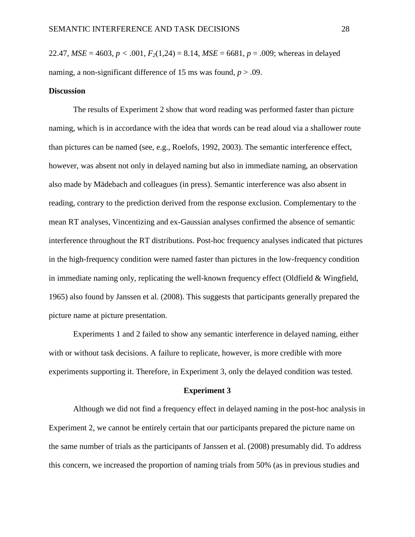22.47,  $MSE = 4603$ ,  $p < .001$ ,  $F_2(1,24) = 8.14$ ,  $MSE = 6681$ ,  $p = .009$ ; whereas in delayed naming, a non-significant difference of 15 ms was found,  $p > .09$ .

## **Discussion**

The results of Experiment 2 show that word reading was performed faster than picture naming, which is in accordance with the idea that words can be read aloud via a shallower route than pictures can be named (see, e.g., Roelofs, 1992, 2003). The semantic interference effect, however, was absent not only in delayed naming but also in immediate naming, an observation also made by Mädebach and colleagues (in press). Semantic interference was also absent in reading, contrary to the prediction derived from the response exclusion. Complementary to the mean RT analyses, Vincentizing and ex-Gaussian analyses confirmed the absence of semantic interference throughout the RT distributions. Post-hoc frequency analyses indicated that pictures in the high-frequency condition were named faster than pictures in the low-frequency condition in immediate naming only, replicating the well-known frequency effect (Oldfield & Wingfield, 1965) also found by Janssen et al. (2008). This suggests that participants generally prepared the picture name at picture presentation.

Experiments 1 and 2 failed to show any semantic interference in delayed naming, either with or without task decisions. A failure to replicate, however, is more credible with more experiments supporting it. Therefore, in Experiment 3, only the delayed condition was tested.

#### **Experiment 3**

Although we did not find a frequency effect in delayed naming in the post-hoc analysis in Experiment 2, we cannot be entirely certain that our participants prepared the picture name on the same number of trials as the participants of Janssen et al. (2008) presumably did. To address this concern, we increased the proportion of naming trials from 50% (as in previous studies and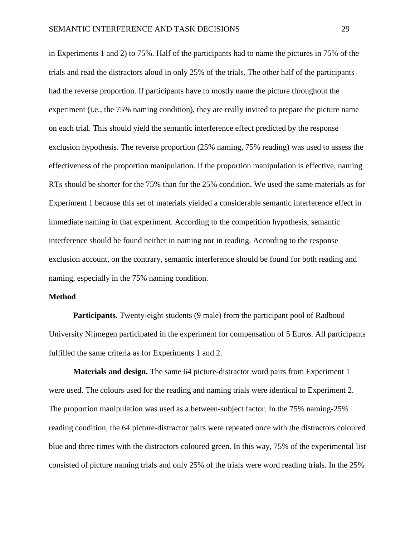in Experiments 1 and 2) to 75%. Half of the participants had to name the pictures in 75% of the trials and read the distractors aloud in only 25% of the trials. The other half of the participants had the reverse proportion. If participants have to mostly name the picture throughout the experiment (i.e., the 75% naming condition), they are really invited to prepare the picture name on each trial. This should yield the semantic interference effect predicted by the response exclusion hypothesis. The reverse proportion (25% naming, 75% reading) was used to assess the effectiveness of the proportion manipulation. If the proportion manipulation is effective, naming RTs should be shorter for the 75% than for the 25% condition. We used the same materials as for Experiment 1 because this set of materials yielded a considerable semantic interference effect in immediate naming in that experiment. According to the competition hypothesis, semantic interference should be found neither in naming nor in reading. According to the response exclusion account, on the contrary, semantic interference should be found for both reading and naming, especially in the 75% naming condition.

### **Method**

**Participants***.* Twenty-eight students (9 male) from the participant pool of Radboud University Nijmegen participated in the experiment for compensation of 5 Euros. All participants fulfilled the same criteria as for Experiments 1 and 2.

**Materials and design.** The same 64 picture-distractor word pairs from Experiment 1 were used. The colours used for the reading and naming trials were identical to Experiment 2. The proportion manipulation was used as a between-subject factor. In the 75% naming-25% reading condition, the 64 picture-distractor pairs were repeated once with the distractors coloured blue and three times with the distractors coloured green. In this way, 75% of the experimental list consisted of picture naming trials and only 25% of the trials were word reading trials. In the 25%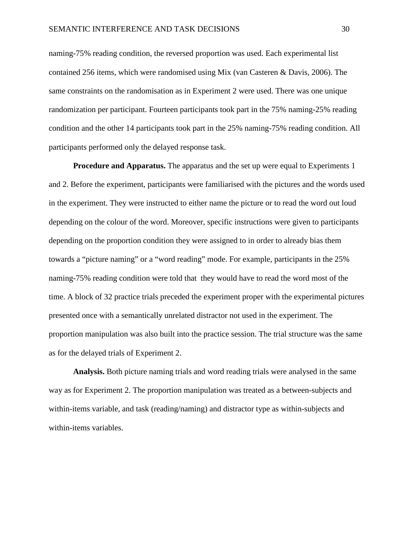naming-75% reading condition, the reversed proportion was used. Each experimental list contained 256 items, which were randomised using Mix (van Casteren & Davis, 2006). The same constraints on the randomisation as in Experiment 2 were used. There was one unique randomization per participant. Fourteen participants took part in the 75% naming-25% reading condition and the other 14 participants took part in the 25% naming-75% reading condition. All participants performed only the delayed response task.

**Procedure and Apparatus.** The apparatus and the set up were equal to Experiments 1 and 2. Before the experiment, participants were familiarised with the pictures and the words used in the experiment. They were instructed to either name the picture or to read the word out loud depending on the colour of the word. Moreover, specific instructions were given to participants depending on the proportion condition they were assigned to in order to already bias them towards a "picture naming" or a "word reading" mode. For example, participants in the 25% naming-75% reading condition were told that they would have to read the word most of the time. A block of 32 practice trials preceded the experiment proper with the experimental pictures presented once with a semantically unrelated distractor not used in the experiment. The proportion manipulation was also built into the practice session. The trial structure was the same as for the delayed trials of Experiment 2.

**Analysis.** Both picture naming trials and word reading trials were analysed in the same way as for Experiment 2. The proportion manipulation was treated as a between-subjects and within-items variable, and task (reading/naming) and distractor type as within-subjects and within-items variables.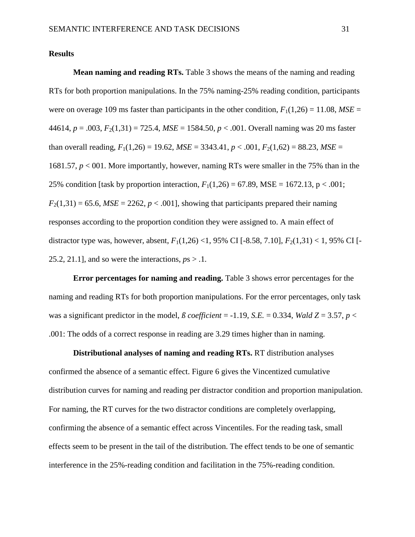# **Results**

**Mean naming and reading RTs.** Table 3 shows the means of the naming and reading RTs for both proportion manipulations. In the 75% naming-25% reading condition, participants were on overage 109 ms faster than participants in the other condition,  $F_1(1,26) = 11.08$ ,  $MSE =$ 44614, *p* = .003, *F*2(1,31) = 725.4, *MSE* = 1584.50, *p* < .001. Overall naming was 20 ms faster than overall reading,  $F_1(1,26) = 19.62$ ,  $MSE = 3343.41$ ,  $p < .001$ ,  $F_2(1,62) = 88.23$ ,  $MSE =$ 1681.57, *p* < 001. More importantly, however, naming RTs were smaller in the 75% than in the 25% condition [task by proportion interaction,  $F_1(1,26) = 67.89$ , MSE = 1672.13, p < .001;  $F_2(1,31) = 65.6$ ,  $MSE = 2262$ ,  $p < .001$ , showing that participants prepared their naming responses according to the proportion condition they were assigned to. A main effect of distractor type was, however, absent,  $F_1(1,26)$  < 1, 95% CI [-8.58, 7.10],  $F_2(1,31)$  < 1, 95% CI [-25.2, 21.1], and so were the interactions, *p*s > .1*.*

**Error percentages for naming and reading.** Table 3 shows error percentages for the naming and reading RTs for both proportion manipulations. For the error percentages, only task was a significant predictor in the model,  $\beta$  coefficient = -1.19, *S.E.* = 0.334, *Wald Z* = 3.57, *p* < .001: The odds of a correct response in reading are 3.29 times higher than in naming.

**Distributional analyses of naming and reading RTs.** RT distribution analyses confirmed the absence of a semantic effect. Figure 6 gives the Vincentized cumulative distribution curves for naming and reading per distractor condition and proportion manipulation. For naming, the RT curves for the two distractor conditions are completely overlapping, confirming the absence of a semantic effect across Vincentiles. For the reading task, small effects seem to be present in the tail of the distribution. The effect tends to be one of semantic interference in the 25%-reading condition and facilitation in the 75%-reading condition.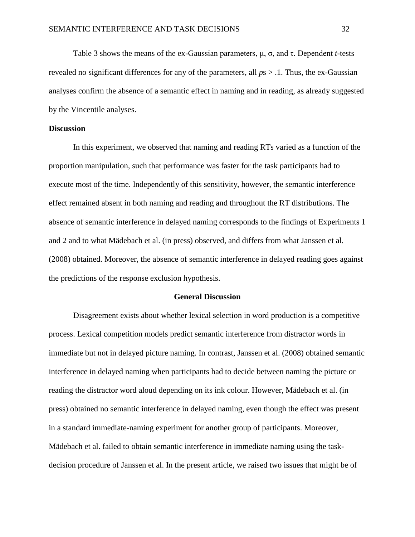Table 3 shows the means of the ex-Gaussian parameters, μ, σ, and τ. Dependent *t*-tests revealed no significant differences for any of the parameters, all *p*s > .1. Thus, the ex-Gaussian analyses confirm the absence of a semantic effect in naming and in reading, as already suggested by the Vincentile analyses.

## **Discussion**

In this experiment, we observed that naming and reading RTs varied as a function of the proportion manipulation, such that performance was faster for the task participants had to execute most of the time. Independently of this sensitivity, however, the semantic interference effect remained absent in both naming and reading and throughout the RT distributions. The absence of semantic interference in delayed naming corresponds to the findings of Experiments 1 and 2 and to what Mädebach et al. (in press) observed, and differs from what Janssen et al. (2008) obtained. Moreover, the absence of semantic interference in delayed reading goes against the predictions of the response exclusion hypothesis.

#### **General Discussion**

Disagreement exists about whether lexical selection in word production is a competitive process. Lexical competition models predict semantic interference from distractor words in immediate but not in delayed picture naming. In contrast, Janssen et al. (2008) obtained semantic interference in delayed naming when participants had to decide between naming the picture or reading the distractor word aloud depending on its ink colour. However, Mädebach et al. (in press) obtained no semantic interference in delayed naming, even though the effect was present in a standard immediate-naming experiment for another group of participants. Moreover, Mädebach et al. failed to obtain semantic interference in immediate naming using the taskdecision procedure of Janssen et al. In the present article, we raised two issues that might be of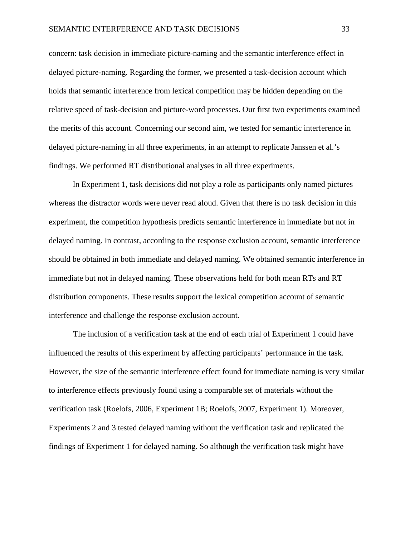concern: task decision in immediate picture-naming and the semantic interference effect in delayed picture-naming. Regarding the former, we presented a task-decision account which holds that semantic interference from lexical competition may be hidden depending on the relative speed of task-decision and picture-word processes. Our first two experiments examined the merits of this account. Concerning our second aim, we tested for semantic interference in delayed picture-naming in all three experiments, in an attempt to replicate Janssen et al.'s findings. We performed RT distributional analyses in all three experiments.

In Experiment 1, task decisions did not play a role as participants only named pictures whereas the distractor words were never read aloud. Given that there is no task decision in this experiment, the competition hypothesis predicts semantic interference in immediate but not in delayed naming. In contrast, according to the response exclusion account, semantic interference should be obtained in both immediate and delayed naming. We obtained semantic interference in immediate but not in delayed naming. These observations held for both mean RTs and RT distribution components. These results support the lexical competition account of semantic interference and challenge the response exclusion account.

The inclusion of a verification task at the end of each trial of Experiment 1 could have influenced the results of this experiment by affecting participants' performance in the task. However, the size of the semantic interference effect found for immediate naming is very similar to interference effects previously found using a comparable set of materials without the verification task (Roelofs, 2006, Experiment 1B; Roelofs, 2007, Experiment 1). Moreover, Experiments 2 and 3 tested delayed naming without the verification task and replicated the findings of Experiment 1 for delayed naming. So although the verification task might have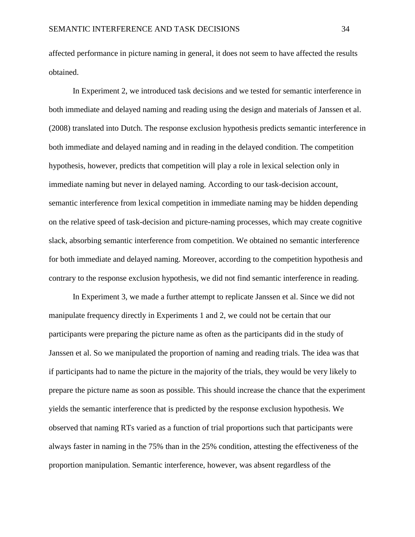affected performance in picture naming in general, it does not seem to have affected the results obtained.

In Experiment 2, we introduced task decisions and we tested for semantic interference in both immediate and delayed naming and reading using the design and materials of Janssen et al. (2008) translated into Dutch. The response exclusion hypothesis predicts semantic interference in both immediate and delayed naming and in reading in the delayed condition. The competition hypothesis, however, predicts that competition will play a role in lexical selection only in immediate naming but never in delayed naming. According to our task-decision account, semantic interference from lexical competition in immediate naming may be hidden depending on the relative speed of task-decision and picture-naming processes, which may create cognitive slack, absorbing semantic interference from competition. We obtained no semantic interference for both immediate and delayed naming. Moreover, according to the competition hypothesis and contrary to the response exclusion hypothesis, we did not find semantic interference in reading.

In Experiment 3, we made a further attempt to replicate Janssen et al. Since we did not manipulate frequency directly in Experiments 1 and 2, we could not be certain that our participants were preparing the picture name as often as the participants did in the study of Janssen et al. So we manipulated the proportion of naming and reading trials. The idea was that if participants had to name the picture in the majority of the trials, they would be very likely to prepare the picture name as soon as possible. This should increase the chance that the experiment yields the semantic interference that is predicted by the response exclusion hypothesis. We observed that naming RTs varied as a function of trial proportions such that participants were always faster in naming in the 75% than in the 25% condition, attesting the effectiveness of the proportion manipulation. Semantic interference, however, was absent regardless of the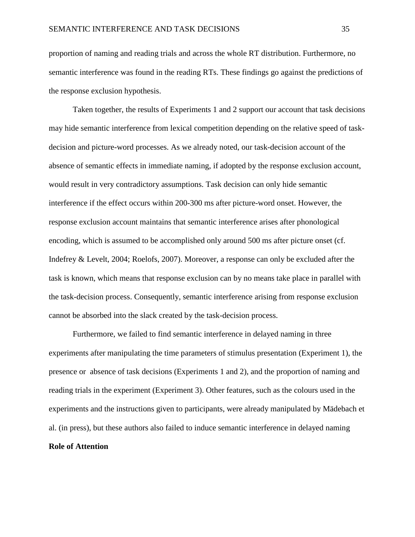proportion of naming and reading trials and across the whole RT distribution. Furthermore, no semantic interference was found in the reading RTs. These findings go against the predictions of the response exclusion hypothesis.

Taken together, the results of Experiments 1 and 2 support our account that task decisions may hide semantic interference from lexical competition depending on the relative speed of taskdecision and picture-word processes. As we already noted, our task-decision account of the absence of semantic effects in immediate naming, if adopted by the response exclusion account, would result in very contradictory assumptions. Task decision can only hide semantic interference if the effect occurs within 200-300 ms after picture-word onset. However, the response exclusion account maintains that semantic interference arises after phonological encoding, which is assumed to be accomplished only around 500 ms after picture onset (cf. Indefrey & Levelt, 2004; Roelofs, 2007). Moreover, a response can only be excluded after the task is known, which means that response exclusion can by no means take place in parallel with the task-decision process. Consequently, semantic interference arising from response exclusion cannot be absorbed into the slack created by the task-decision process.

Furthermore, we failed to find semantic interference in delayed naming in three experiments after manipulating the time parameters of stimulus presentation (Experiment 1), the presence or absence of task decisions (Experiments 1 and 2), and the proportion of naming and reading trials in the experiment (Experiment 3). Other features, such as the colours used in the experiments and the instructions given to participants, were already manipulated by Mädebach et al. (in press), but these authors also failed to induce semantic interference in delayed naming

# **Role of Attention**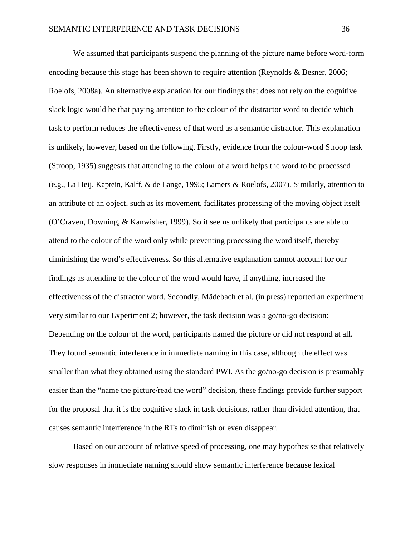We assumed that participants suspend the planning of the picture name before word-form encoding because this stage has been shown to require attention (Reynolds & Besner, 2006; Roelofs, 2008a). An alternative explanation for our findings that does not rely on the cognitive slack logic would be that paying attention to the colour of the distractor word to decide which task to perform reduces the effectiveness of that word as a semantic distractor. This explanation is unlikely, however, based on the following. Firstly, evidence from the colour-word Stroop task (Stroop, 1935) suggests that attending to the colour of a word helps the word to be processed (e.g., La Heij, Kaptein, Kalff, & de Lange, 1995; Lamers & Roelofs, 2007). Similarly, attention to an attribute of an object, such as its movement, facilitates processing of the moving object itself (O'Craven, Downing, & Kanwisher, 1999). So it seems unlikely that participants are able to attend to the colour of the word only while preventing processing the word itself, thereby diminishing the word's effectiveness. So this alternative explanation cannot account for our findings as attending to the colour of the word would have, if anything, increased the effectiveness of the distractor word. Secondly, Mädebach et al. (in press) reported an experiment very similar to our Experiment 2; however, the task decision was a go/no-go decision: Depending on the colour of the word, participants named the picture or did not respond at all. They found semantic interference in immediate naming in this case, although the effect was smaller than what they obtained using the standard PWI. As the go/no-go decision is presumably easier than the "name the picture/read the word" decision, these findings provide further support for the proposal that it is the cognitive slack in task decisions, rather than divided attention, that causes semantic interference in the RTs to diminish or even disappear.

Based on our account of relative speed of processing, one may hypothesise that relatively slow responses in immediate naming should show semantic interference because lexical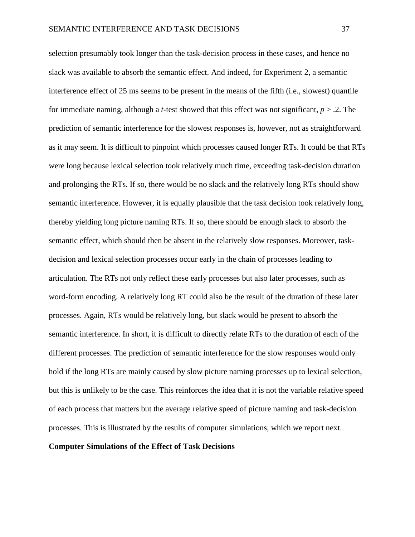selection presumably took longer than the task-decision process in these cases, and hence no slack was available to absorb the semantic effect. And indeed, for Experiment 2, a semantic interference effect of 25 ms seems to be present in the means of the fifth (i.e., slowest) quantile for immediate naming, although a *t*-test showed that this effect was not significant, *p* > .2. The prediction of semantic interference for the slowest responses is, however, not as straightforward as it may seem. It is difficult to pinpoint which processes caused longer RTs. It could be that RTs were long because lexical selection took relatively much time, exceeding task-decision duration and prolonging the RTs. If so, there would be no slack and the relatively long RTs should show semantic interference. However, it is equally plausible that the task decision took relatively long, thereby yielding long picture naming RTs. If so, there should be enough slack to absorb the semantic effect, which should then be absent in the relatively slow responses. Moreover, taskdecision and lexical selection processes occur early in the chain of processes leading to articulation. The RTs not only reflect these early processes but also later processes, such as word-form encoding. A relatively long RT could also be the result of the duration of these later processes. Again, RTs would be relatively long, but slack would be present to absorb the semantic interference. In short, it is difficult to directly relate RTs to the duration of each of the different processes. The prediction of semantic interference for the slow responses would only hold if the long RTs are mainly caused by slow picture naming processes up to lexical selection, but this is unlikely to be the case. This reinforces the idea that it is not the variable relative speed of each process that matters but the average relative speed of picture naming and task-decision processes. This is illustrated by the results of computer simulations, which we report next.

### **Computer Simulations of the Effect of Task Decisions**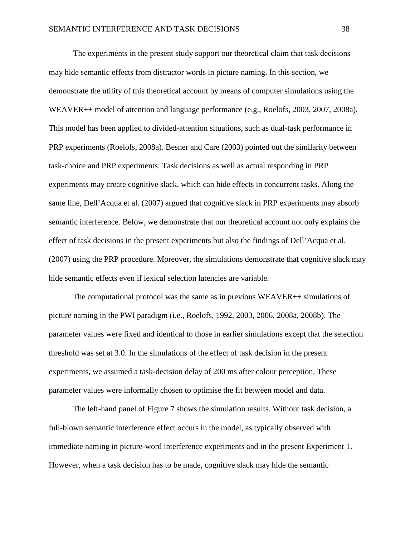The experiments in the present study support our theoretical claim that task decisions may hide semantic effects from distractor words in picture naming. In this section, we demonstrate the utility of this theoretical account by means of computer simulations using the WEAVER++ model of attention and language performance (e.g., Roelofs, 2003, 2007, 2008a). This model has been applied to divided-attention situations, such as dual-task performance in PRP experiments (Roelofs, 2008a). Besner and Care (2003) pointed out the similarity between task-choice and PRP experiments: Task decisions as well as actual responding in PRP experiments may create cognitive slack, which can hide effects in concurrent tasks. Along the same line, Dell'Acqua et al. (2007) argued that cognitive slack in PRP experiments may absorb semantic interference. Below, we demonstrate that our theoretical account not only explains the effect of task decisions in the present experiments but also the findings of Dell'Acqua et al. (2007) using the PRP procedure. Moreover, the simulations demonstrate that cognitive slack may hide semantic effects even if lexical selection latencies are variable.

The computational protocol was the same as in previous WEAVER++ simulations of picture naming in the PWI paradigm (i.e., Roelofs, 1992, 2003, 2006, 2008a, 2008b). The parameter values were fixed and identical to those in earlier simulations except that the selection threshold was set at 3.0. In the simulations of the effect of task decision in the present experiments, we assumed a task-decision delay of 200 ms after colour perception. These parameter values were informally chosen to optimise the fit between model and data.

The left-hand panel of Figure 7 shows the simulation results. Without task decision, a full-blown semantic interference effect occurs in the model, as typically observed with immediate naming in picture-word interference experiments and in the present Experiment 1. However, when a task decision has to be made, cognitive slack may hide the semantic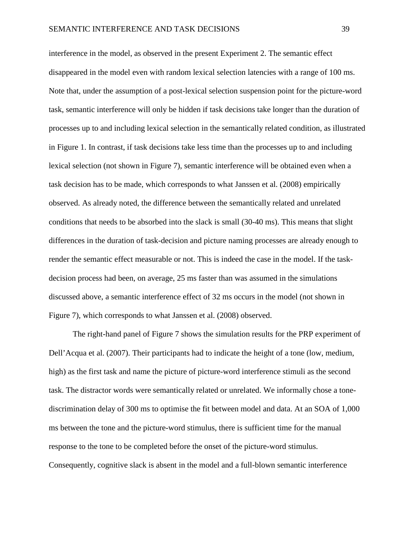interference in the model, as observed in the present Experiment 2. The semantic effect disappeared in the model even with random lexical selection latencies with a range of 100 ms. Note that, under the assumption of a post-lexical selection suspension point for the picture-word task, semantic interference will only be hidden if task decisions take longer than the duration of processes up to and including lexical selection in the semantically related condition, as illustrated in Figure 1. In contrast, if task decisions take less time than the processes up to and including lexical selection (not shown in Figure 7), semantic interference will be obtained even when a task decision has to be made, which corresponds to what Janssen et al. (2008) empirically observed. As already noted, the difference between the semantically related and unrelated conditions that needs to be absorbed into the slack is small (30-40 ms). This means that slight differences in the duration of task-decision and picture naming processes are already enough to render the semantic effect measurable or not. This is indeed the case in the model. If the taskdecision process had been, on average, 25 ms faster than was assumed in the simulations discussed above, a semantic interference effect of 32 ms occurs in the model (not shown in Figure 7), which corresponds to what Janssen et al. (2008) observed.

The right-hand panel of Figure 7 shows the simulation results for the PRP experiment of Dell'Acqua et al. (2007). Their participants had to indicate the height of a tone (low, medium, high) as the first task and name the picture of picture-word interference stimuli as the second task. The distractor words were semantically related or unrelated. We informally chose a tonediscrimination delay of 300 ms to optimise the fit between model and data. At an SOA of 1,000 ms between the tone and the picture-word stimulus, there is sufficient time for the manual response to the tone to be completed before the onset of the picture-word stimulus. Consequently, cognitive slack is absent in the model and a full-blown semantic interference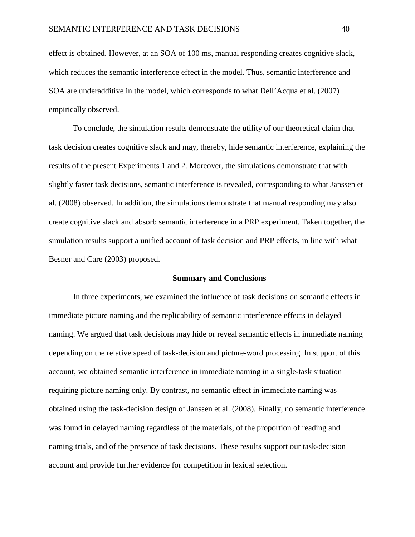effect is obtained. However, at an SOA of 100 ms, manual responding creates cognitive slack, which reduces the semantic interference effect in the model. Thus, semantic interference and SOA are underadditive in the model, which corresponds to what Dell'Acqua et al. (2007) empirically observed.

To conclude, the simulation results demonstrate the utility of our theoretical claim that task decision creates cognitive slack and may, thereby, hide semantic interference, explaining the results of the present Experiments 1 and 2. Moreover, the simulations demonstrate that with slightly faster task decisions, semantic interference is revealed, corresponding to what Janssen et al. (2008) observed. In addition, the simulations demonstrate that manual responding may also create cognitive slack and absorb semantic interference in a PRP experiment. Taken together, the simulation results support a unified account of task decision and PRP effects, in line with what Besner and Care (2003) proposed.

#### **Summary and Conclusions**

In three experiments, we examined the influence of task decisions on semantic effects in immediate picture naming and the replicability of semantic interference effects in delayed naming. We argued that task decisions may hide or reveal semantic effects in immediate naming depending on the relative speed of task-decision and picture-word processing. In support of this account, we obtained semantic interference in immediate naming in a single-task situation requiring picture naming only. By contrast, no semantic effect in immediate naming was obtained using the task-decision design of Janssen et al. (2008). Finally, no semantic interference was found in delayed naming regardless of the materials, of the proportion of reading and naming trials, and of the presence of task decisions. These results support our task-decision account and provide further evidence for competition in lexical selection.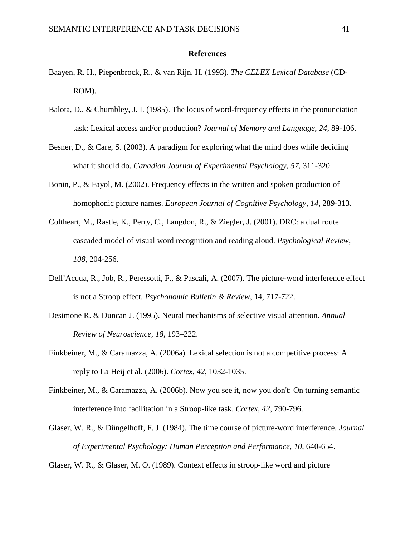#### **References**

- Baayen, R. H., Piepenbrock, R., & van Rijn, H. (1993). *The CELEX Lexical Database* (CD-ROM).
- Balota, D., & Chumbley, J. I. (1985). The locus of word-frequency effects in the pronunciation task: Lexical access and/or production? *Journal of Memory and Language*, *24*, 89-106.
- Besner, D., & Care, S. (2003). A paradigm for exploring what the mind does while deciding what it should do. *Canadian Journal of Experimental Psychology, 57*, 311-320.
- Bonin, P., & Fayol, M. (2002). Frequency effects in the written and spoken production of homophonic picture names. *European Journal of Cognitive Psychology, 14*, 289-313.
- Coltheart, M., Rastle, K., Perry, C., Langdon, R., & Ziegler, J. (2001). DRC: a dual route cascaded model of visual word recognition and reading aloud. *Psychological Review*, *108*, 204-256.
- Dell'Acqua, R., Job, R., Peressotti, F., & Pascali, A. (2007). The picture-word interference effect is not a Stroop effect. *Psychonomic Bulletin & Review*, 14, 717-722.
- Desimone R. & Duncan J. (1995). Neural mechanisms of selective visual attention. *Annual Review of Neuroscience, 18,* 193–222.
- Finkbeiner, M., & Caramazza, A. (2006a). Lexical selection is not a competitive process: A reply to La Heij et al. (2006). *Cortex*, *42*, 1032-1035.
- Finkbeiner, M., & Caramazza, A. (2006b). Now you see it, now you don't: On turning semantic interference into facilitation in a Stroop-like task. *Cortex*, *42*, 790-796.
- Glaser, W. R., & Düngelhoff, F. J. (1984). The time course of picture-word interference. *Journal of Experimental Psychology: Human Perception and Performance*, *10*, 640-654.

Glaser, W. R., & Glaser, M. O. (1989). Context effects in stroop-like word and picture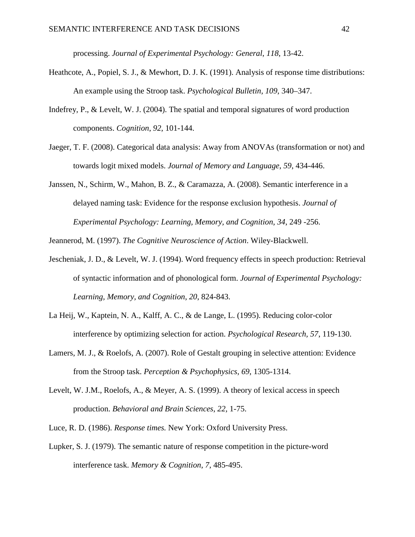processing. *Journal of Experimental Psychology: General*, *118*, 13-42.

- Heathcote, A., Popiel, S. J., & Mewhort, D. J. K. (1991). Analysis of response time distributions: An example using the Stroop task. *Psychological Bulletin, 109*, 340–347.
- Indefrey, P., & Levelt, W. J. (2004). The spatial and temporal signatures of word production components. *Cognition*, *92*, 101-144.
- Jaeger, T. F. (2008). Categorical data analysis: Away from ANOVAs (transformation or not) and towards logit mixed models. *Journal of Memory and Language*, *59*, 434-446.
- Janssen, N., Schirm, W., Mahon, B. Z., & Caramazza, A. (2008). Semantic interference in a delayed naming task: Evidence for the response exclusion hypothesis. *Journal of Experimental Psychology: Learning, Memory, and Cognition*, *34*, 249 -256.

Jeannerod, M. (1997). *The Cognitive Neuroscience of Action*. Wiley-Blackwell.

- Jescheniak, J. D., & Levelt, W. J. (1994). Word frequency effects in speech production: Retrieval of syntactic information and of phonological form. *Journal of Experimental Psychology: Learning, Memory, and Cognition*, *20*, 824-843.
- La Heij, W., Kaptein, N. A., Kalff, A. C., & de Lange, L. (1995). Reducing color-color interference by optimizing selection for action. *Psychological Research, 57*, 119-130.
- Lamers, M. J., & Roelofs, A. (2007). Role of Gestalt grouping in selective attention: Evidence from the Stroop task. *Perception & Psychophysics*, *69*, 1305-1314.
- Levelt, W. J.M., Roelofs, A., & Meyer, A. S. (1999). A theory of lexical access in speech production. *Behavioral and Brain Sciences*, *22,* 1-75.
- Luce, R. D. (1986). *Response times.* New York: Oxford University Press.
- Lupker, S. J. (1979). The semantic nature of response competition in the picture-word interference task. *Memory & Cognition*, *7*, 485-495.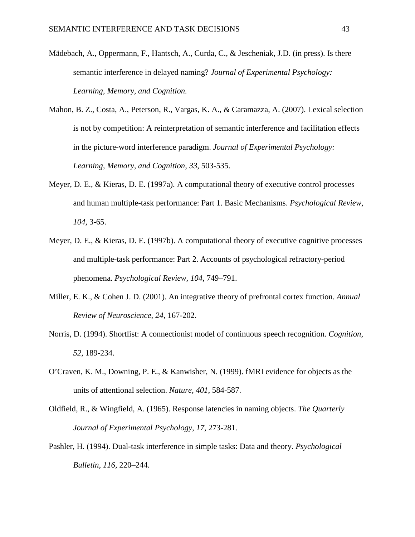- Mädebach, A., Oppermann, F., Hantsch, A., Curda, C., & Jescheniak, J.D. (in press). Is there semantic interference in delayed naming? *Journal of Experimental Psychology: Learning, Memory, and Cognition.*
- Mahon, B. Z., Costa, A., Peterson, R., Vargas, K. A., & Caramazza, A. (2007). Lexical selection is not by competition: A reinterpretation of semantic interference and facilitation effects in the picture-word interference paradigm. *Journal of Experimental Psychology: Learning, Memory, and Cognition*, *33*, 503-535.
- Meyer, D. E., & Kieras, D. E. (1997a). A computational theory of executive control processes and human multiple-task performance: Part 1. Basic Mechanisms. *Psychological Review*, *104*, 3-65.
- Meyer, D. E., & Kieras, D. E. (1997b). A computational theory of executive cognitive processes and multiple-task performance: Part 2. Accounts of psychological refractory-period phenomena. *Psychological Review, 104,* 749–791.
- Miller, E. K., & Cohen J. D. (2001). An integrative theory of prefrontal cortex function. *Annual Review of Neuroscience*, *24*, 167-202.
- Norris, D. (1994). Shortlist: A connectionist model of continuous speech recognition. *Cognition*, *52*, 189-234.
- O'Craven, K. M., Downing, P. E., & Kanwisher, N. (1999). fMRI evidence for objects as the units of attentional selection. *Nature, 401*, 584-587.
- Oldfield, R., & Wingfield, A. (1965). Response latencies in naming objects. *The Quarterly Journal of Experimental Psychology*, *17*, 273-281.
- Pashler, H. (1994). Dual-task interference in simple tasks: Data and theory. *Psychological Bulletin, 116,* 220–244.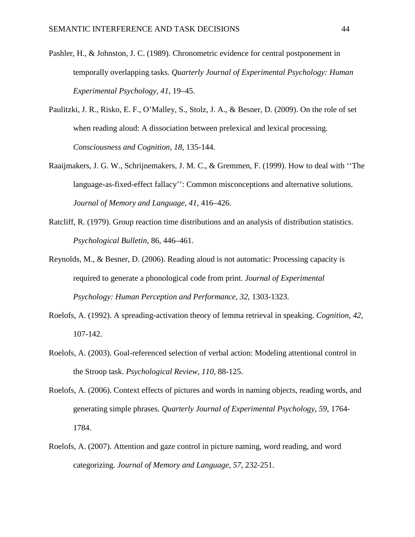- Pashler, H., & Johnston, J. C. (1989). Chronometric evidence for central postponement in temporally overlapping tasks. *Quarterly Journal of Experimental Psychology: Human Experimental Psychology, 41*, 19–45.
- Paulitzki, J. R., Risko, E. F., O'Malley, S., Stolz, J. A., & Besner, D. (2009). On the role of set when reading aloud: A dissociation between prelexical and lexical processing. *Consciousness and Cognition*, *18*, 135-144.
- Raaijmakers, J. G. W., Schrijnemakers, J. M. C., & Gremmen, F. (1999). How to deal with ''The language-as-fixed-effect fallacy'': Common misconceptions and alternative solutions. *Journal of Memory and Language, 41*, 416–426.
- Ratcliff, R. (1979). Group reaction time distributions and an analysis of distribution statistics. *Psychological Bulletin*, 86, 446–461.
- Reynolds, M., & Besner, D. (2006). Reading aloud is not automatic: Processing capacity is required to generate a phonological code from print. *Journal of Experimental Psychology: Human Perception and Performance, 32*, 1303-1323.
- Roelofs, A. (1992). A spreading-activation theory of lemma retrieval in speaking. *Cognition, 42*, 107-142.
- Roelofs, A. (2003). Goal-referenced selection of verbal action: Modeling attentional control in the Stroop task. *Psychological Review*, *110*, 88-125.
- Roelofs, A. (2006). Context effects of pictures and words in naming objects, reading words, and generating simple phrases. *Quarterly Journal of Experimental Psychology*, *59*, 1764- 1784.
- Roelofs, A. (2007). Attention and gaze control in picture naming, word reading, and word categorizing. *Journal of Memory and Language*, *57*, 232-251.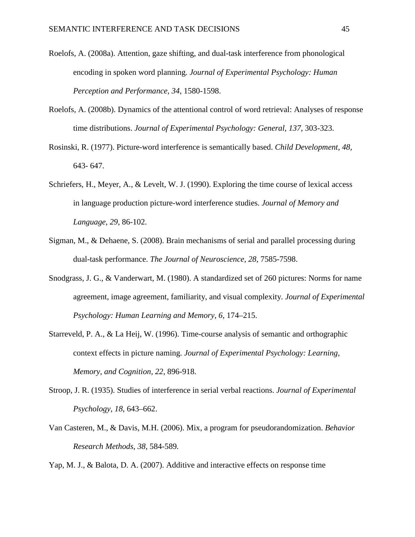- Roelofs, A. (2008a). Attention, gaze shifting, and dual-task interference from phonological encoding in spoken word planning. *Journal of Experimental Psychology: Human Perception and Performance, 34*, 1580-1598.
- Roelofs, A. (2008b). Dynamics of the attentional control of word retrieval: Analyses of response time distributions. *Journal of Experimental Psychology: General, 137*, 303-323.
- Rosinski, R. (1977). Picture-word interference is semantically based. *Child Development, 48*, 643- 647.
- Schriefers, H., Meyer, A., & Levelt, W. J. (1990). Exploring the time course of lexical access in language production picture-word interference studies. *Journal of Memory and Language*, *29*, 86-102.
- Sigman, M., & Dehaene, S. (2008). Brain mechanisms of serial and parallel processing during dual-task performance. *The Journal of Neuroscience, 28*, 7585-7598.
- Snodgrass, J. G., & Vanderwart, M. (1980). A standardized set of 260 pictures: Norms for name agreement, image agreement, familiarity, and visual complexity. *Journal of Experimental Psychology: Human Learning and Memory*, *6*, 174–215.
- Starreveld, P. A., & La Heij, W. (1996). Time-course analysis of semantic and orthographic context effects in picture naming. *Journal of Experimental Psychology: Learning, Memory, and Cognition, 22*, 896-918.
- Stroop, J. R. (1935). Studies of interference in serial verbal reactions. *Journal of Experimental Psychology*, *18*, 643–662.
- Van Casteren, M., & Davis, M.H. (2006). Mix, a program for pseudorandomization. *Behavior Research Methods, 38,* 584-589*.*

Yap, M. J., & Balota, D. A. (2007). Additive and interactive effects on response time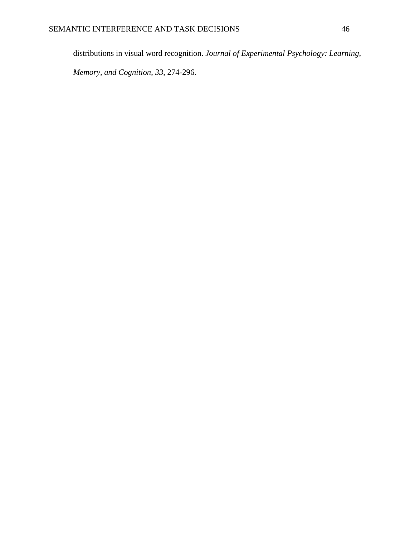distributions in visual word recognition. *Journal of Experimental Psychology: Learning,* 

*Memory, and Cognition*, *33*, 274-296.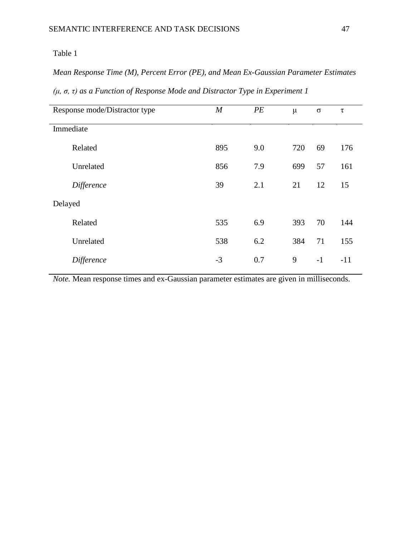# Table 1

*Mean Response Time (M), Percent Error (PE), and Mean Ex-Gaussian Parameter Estimates* 

| Response mode/Distractor type | $\boldsymbol{M}$ | PE  | μ   | $\sigma$ | τ     |
|-------------------------------|------------------|-----|-----|----------|-------|
| Immediate                     |                  |     |     |          |       |
| Related                       | 895              | 9.0 | 720 | 69       | 176   |
| Unrelated                     | 856              | 7.9 | 699 | 57       | 161   |
| Difference                    | 39               | 2.1 | 21  | 12       | 15    |
| Delayed                       |                  |     |     |          |       |
| Related                       | 535              | 6.9 | 393 | 70       | 144   |
| Unrelated                     | 538              | 6.2 | 384 | 71       | 155   |
| Difference                    | $-3$             | 0.7 | 9   | $-1$     | $-11$ |

*(μ, σ, τ) as a Function of Response Mode and Distractor Type in Experiment 1* 

*Note.* Mean response times and ex-Gaussian parameter estimates are given in milliseconds.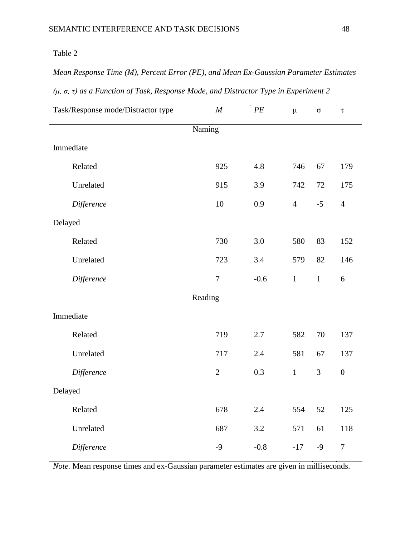# Table 2

# *Mean Response Time (M), Percent Error (PE), and Mean Ex-Gaussian Parameter Estimates*

| $(\mu, \sigma, \tau)$ as a Function of Task, Response Mode, and Distractor Type in Experiment 2 |  |  |  |  |  |  |  |  |
|-------------------------------------------------------------------------------------------------|--|--|--|--|--|--|--|--|
|-------------------------------------------------------------------------------------------------|--|--|--|--|--|--|--|--|

| Task/Response mode/Distractor type | $\cal M$         | $\cal{P}E$ | $\mu$          | $\sigma$       | $\tau$           |
|------------------------------------|------------------|------------|----------------|----------------|------------------|
|                                    | Naming           |            |                |                |                  |
| Immediate                          |                  |            |                |                |                  |
| Related                            | 925              | 4.8        | 746            | 67             | 179              |
| Unrelated                          | 915              | 3.9        | 742            | 72             | 175              |
| Difference                         | 10               | 0.9        | $\overline{4}$ | $-5$           | $\overline{4}$   |
| Delayed                            |                  |            |                |                |                  |
| Related                            | 730              | 3.0        | 580            | 83             | 152              |
| Unrelated                          | 723              | 3.4        | 579            | 82             | 146              |
| Difference                         | $\boldsymbol{7}$ | $-0.6$     | $\mathbf 1$    | $\mathbf{1}$   | 6                |
|                                    | Reading          |            |                |                |                  |
| Immediate                          |                  |            |                |                |                  |
| Related                            | 719              | 2.7        | 582            | 70             | 137              |
| Unrelated                          | 717              | 2.4        | 581            | 67             | 137              |
| Difference                         | $\overline{c}$   | 0.3        | $\,1$          | $\mathfrak{Z}$ | $\boldsymbol{0}$ |
| Delayed                            |                  |            |                |                |                  |
| Related                            | 678              | 2.4        | 554            | 52             | 125              |
| Unrelated                          | 687              | 3.2        | 571            | 61             | 118              |
| Difference                         | $-9$             | $-0.8$     | $-17$          | $-9$           | $\boldsymbol{7}$ |

*Note.* Mean response times and ex-Gaussian parameter estimates are given in milliseconds.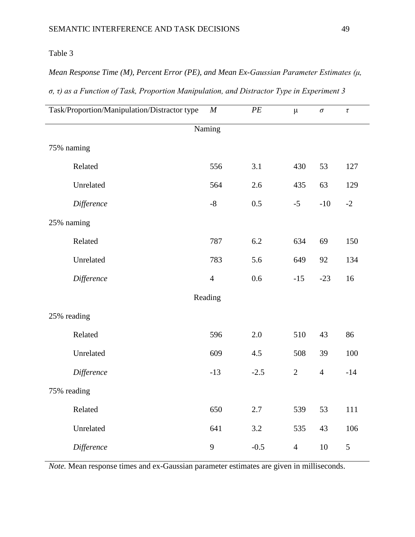# Table 3

*Mean Response Time (M), Percent Error (PE), and Mean Ex-Gaussian Parameter Estimates (μ, σ, τ) as a Function of Task, Proportion Manipulation, and Distractor Type in Experiment 3*

| Task/Proportion/Manipulation/Distractor type | $\cal M$       | $\cal{P}E$ | $\mu$          | $\sigma$       | τ              |  |
|----------------------------------------------|----------------|------------|----------------|----------------|----------------|--|
| Naming                                       |                |            |                |                |                |  |
| 75% naming                                   |                |            |                |                |                |  |
| Related                                      | 556            | 3.1        | 430            | 53             | 127            |  |
| Unrelated                                    | 564            | 2.6        | 435            | 63             | 129            |  |
| Difference                                   | $\mbox{-}8$    | 0.5        | $-5$           | $-10$          | $-2$           |  |
| 25% naming                                   |                |            |                |                |                |  |
| Related                                      | 787            | 6.2        | 634            | 69             | 150            |  |
| Unrelated                                    | 783            | 5.6        | 649            | 92             | 134            |  |
| Difference                                   | $\overline{4}$ | 0.6        | $-15$          | $-23$          | 16             |  |
|                                              | Reading        |            |                |                |                |  |
| 25% reading                                  |                |            |                |                |                |  |
| Related                                      | 596            | 2.0        | 510            | 43             | 86             |  |
| Unrelated                                    | 609            | 4.5        | 508            | 39             | 100            |  |
| Difference                                   | $-13$          | $-2.5$     | $\mathbf{2}$   | $\overline{4}$ | $-14$          |  |
| 75% reading                                  |                |            |                |                |                |  |
| Related                                      | 650            | 2.7        | 539            | 53             | 111            |  |
| Unrelated                                    | 641            | 3.2        | 535            | 43             | 106            |  |
| Difference                                   | 9              | $-0.5$     | $\overline{4}$ | 10             | $\mathfrak{S}$ |  |

*Note.* Mean response times and ex-Gaussian parameter estimates are given in milliseconds.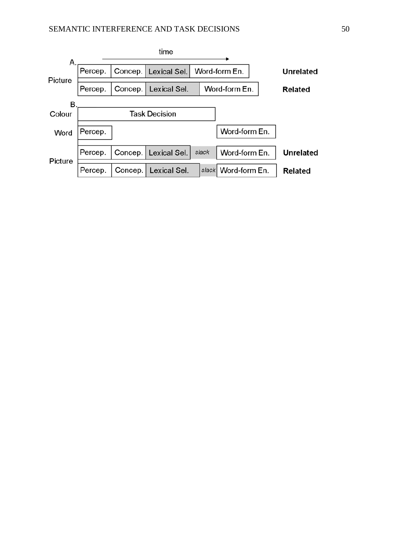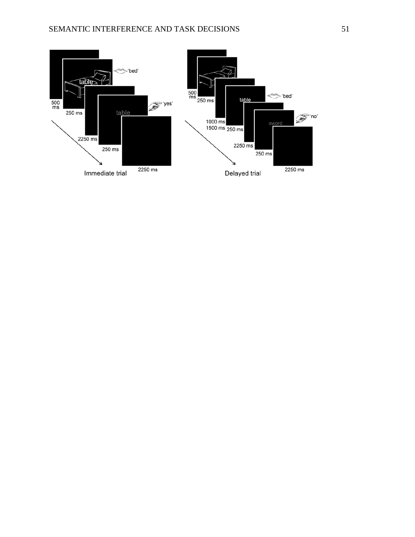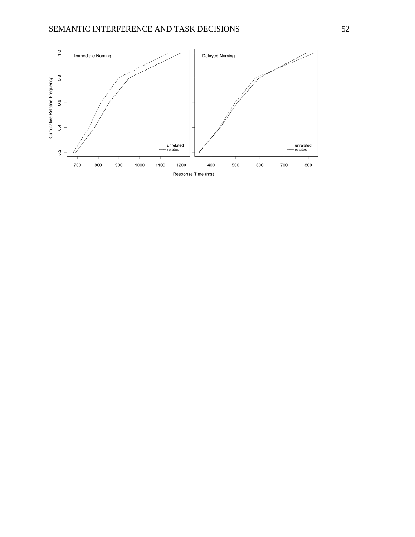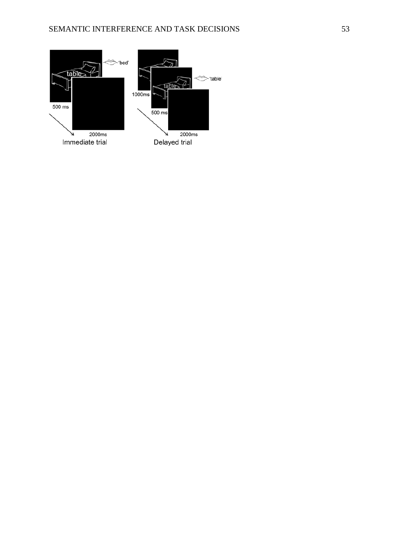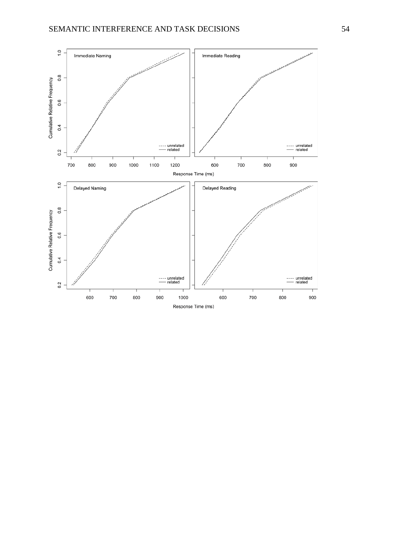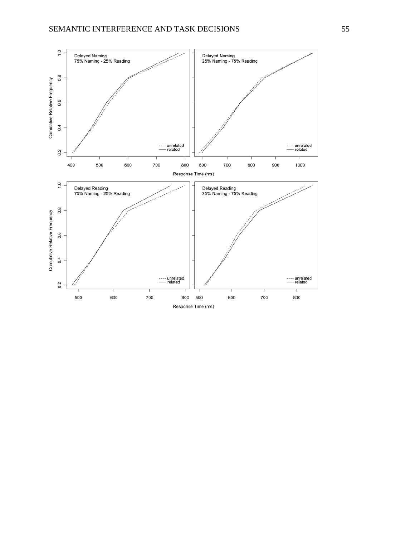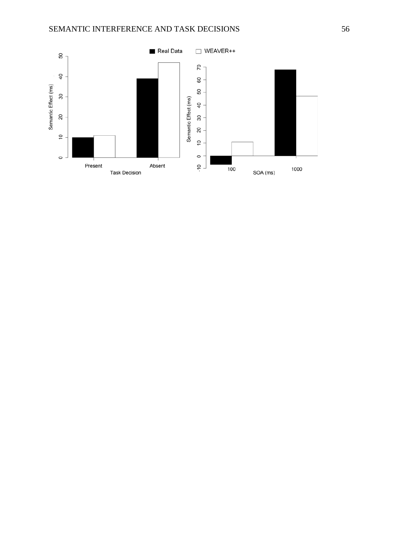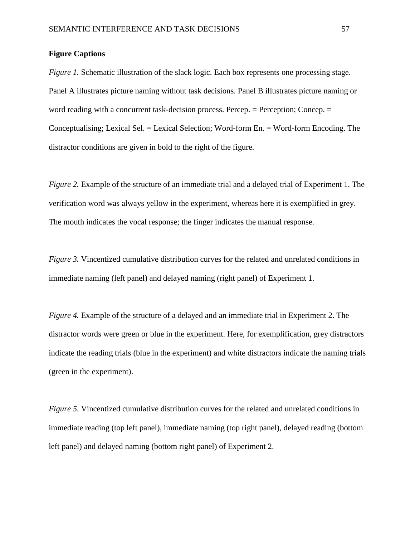# **Figure Captions**

*Figure 1.* Schematic illustration of the slack logic. Each box represents one processing stage. Panel A illustrates picture naming without task decisions. Panel B illustrates picture naming or word reading with a concurrent task-decision process. Percep. = Perception; Concep. = Conceptualising; Lexical Sel. = Lexical Selection; Word-form En. = Word-form Encoding. The distractor conditions are given in bold to the right of the figure.

*Figure 2.* Example of the structure of an immediate trial and a delayed trial of Experiment 1. The verification word was always yellow in the experiment, whereas here it is exemplified in grey. The mouth indicates the vocal response; the finger indicates the manual response.

*Figure 3.* Vincentized cumulative distribution curves for the related and unrelated conditions in immediate naming (left panel) and delayed naming (right panel) of Experiment 1.

*Figure 4.* Example of the structure of a delayed and an immediate trial in Experiment 2. The distractor words were green or blue in the experiment. Here, for exemplification, grey distractors indicate the reading trials (blue in the experiment) and white distractors indicate the naming trials (green in the experiment).

*Figure 5.* Vincentized cumulative distribution curves for the related and unrelated conditions in immediate reading (top left panel), immediate naming (top right panel), delayed reading (bottom left panel) and delayed naming (bottom right panel) of Experiment 2.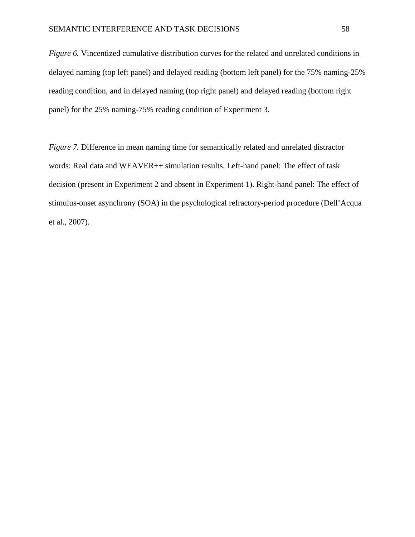*Figure 6.* Vincentized cumulative distribution curves for the related and unrelated conditions in delayed naming (top left panel) and delayed reading (bottom left panel) for the 75% naming-25% reading condition, and in delayed naming (top right panel) and delayed reading (bottom right panel) for the 25% naming-75% reading condition of Experiment 3.

*Figure 7.* Difference in mean naming time for semantically related and unrelated distractor words: Real data and WEAVER++ simulation results. Left-hand panel: The effect of task decision (present in Experiment 2 and absent in Experiment 1). Right-hand panel: The effect of stimulus-onset asynchrony (SOA) in the psychological refractory-period procedure (Dell'Acqua et al., 2007).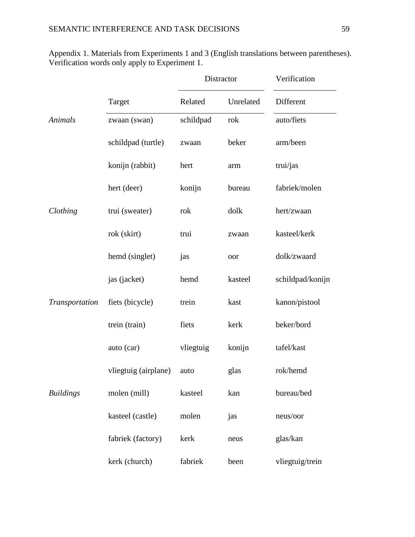Appendix 1. Materials from Experiments 1 and 3 (English translations between parentheses). Verification words only apply to Experiment 1.

|                  |                      | Distractor |           | Verification     |
|------------------|----------------------|------------|-----------|------------------|
|                  | Target               | Related    | Unrelated | Different        |
| Animals          | zwaan (swan)         | schildpad  | rok       | auto/fiets       |
|                  | schildpad (turtle)   | zwaan      | beker     | arm/been         |
|                  | konijn (rabbit)      | hert       | arm       | trui/jas         |
|                  | hert (deer)          | konijn     | bureau    | fabriek/molen    |
| Clothing         | trui (sweater)       | rok        | dolk      | hert/zwaan       |
|                  | rok (skirt)          | trui       | zwaan     | kasteel/kerk     |
|                  | hemd (singlet)       | jas        | oor       | dolk/zwaard      |
|                  | jas (jacket)         | hemd       | kasteel   | schildpad/konijn |
| Transportation   | fiets (bicycle)      | trein      | kast      | kanon/pistool    |
|                  | trein (train)        | fiets      | kerk      | beker/bord       |
|                  | auto (car)           | vliegtuig  | konijn    | tafel/kast       |
|                  | vliegtuig (airplane) | auto       | glas      | rok/hemd         |
| <b>Buildings</b> | molen (mill)         | kasteel    | kan       | bureau/bed       |
|                  | kasteel (castle)     | molen      | jas       | neus/oor         |
|                  | fabriek (factory)    | kerk       | neus      | glas/kan         |
|                  | kerk (church)        | fabriek    | been      | vliegtuig/trein  |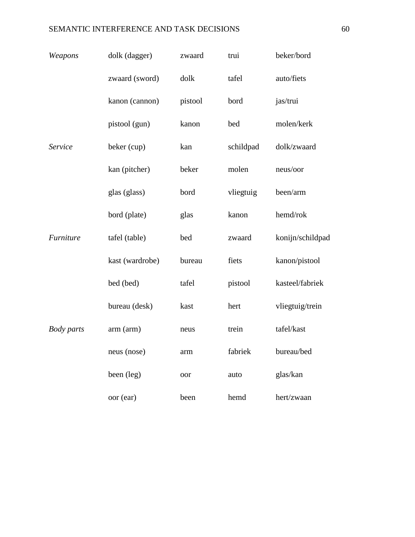# SEMANTIC INTERFERENCE AND TASK DECISIONS 60

| Weapons           | dolk (dagger)   | zwaard  | trui      | beker/bord       |
|-------------------|-----------------|---------|-----------|------------------|
|                   | zwaard (sword)  | dolk    | tafel     | auto/fiets       |
|                   | kanon (cannon)  | pistool | bord      | jas/trui         |
|                   | pistool (gun)   | kanon   | bed       | molen/kerk       |
| Service           | beker (cup)     | kan     | schildpad | dolk/zwaard      |
|                   | kan (pitcher)   | beker   | molen     | neus/oor         |
|                   | glas (glass)    | bord    | vliegtuig | been/arm         |
|                   | bord (plate)    | glas    | kanon     | hemd/rok         |
| Furniture         | tafel (table)   | bed     | zwaard    | konijn/schildpad |
|                   | kast (wardrobe) | bureau  | fiets     | kanon/pistool    |
|                   | bed (bed)       | tafel   | pistool   | kasteel/fabriek  |
|                   | bureau (desk)   | kast    | hert      | vliegtuig/trein  |
| <b>Body</b> parts | arm (arm)       | neus    | trein     | tafel/kast       |
|                   | neus (nose)     | arm     | fabriek   | bureau/bed       |
|                   | been (leg)      | oor     | auto      | glas/kan         |
|                   | oor (ear)       | been    | hemd      | hert/zwaan       |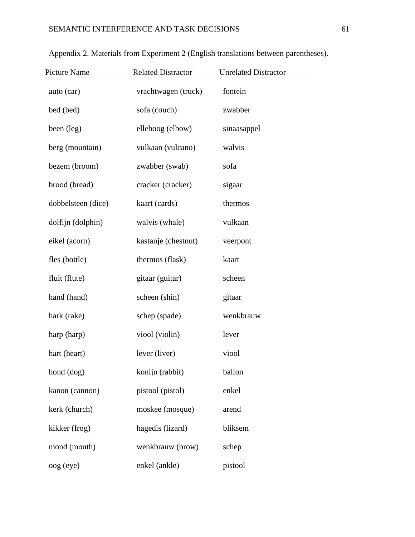| Picture Name       | <b>Related Distractor</b> | <b>Unrelated Distractor</b> |
|--------------------|---------------------------|-----------------------------|
| auto (car)         | vrachtwagen (truck)       | fontein                     |
| bed (bed)          | sofa (couch)              | zwabber                     |
| been (leg)         | elleboog (elbow)          | sinaasappel                 |
| berg (mountain)    | vulkaan (vulcano)         | walvis                      |
| bezem (broom)      | zwabber (swab)            | sofa                        |
| brood (bread)      | cracker (cracker)         | sigaar                      |
| dobbelsteen (dice) | kaart (cards)             | thermos                     |
| dolfijn (dolphin)  | walvis (whale)            | vulkaan                     |
| eikel (acorn)      | kastanje (chestnut)       | veerpont                    |
| fles (bottle)      | thermos (flask)           | kaart                       |
| fluit (flute)      | gitaar (guitar)           | scheen                      |
| hand (hand)        | scheen (shin)             | gitaar                      |
| hark (rake)        | schep (spade)             | wenkbrauw                   |
| harp (harp)        | viool (violin)            | lever                       |
| hart (heart)       | lever (liver)             | viool                       |
| hond (dog)         | konijn (rabbit)           | ballon                      |
| kanon (cannon)     | pistool (pistol)          | enkel                       |
| kerk (church)      | moskee (mosque)           | arend                       |
| kikker (frog)      | hagedis (lizard)          | bliksem                     |
| mond (mouth)       | wenkbrauw (brow)          | schep                       |
| oog (eye)          | enkel (ankle)             | pistool                     |

Appendix 2. Materials from Experiment 2 (English translations between parentheses).